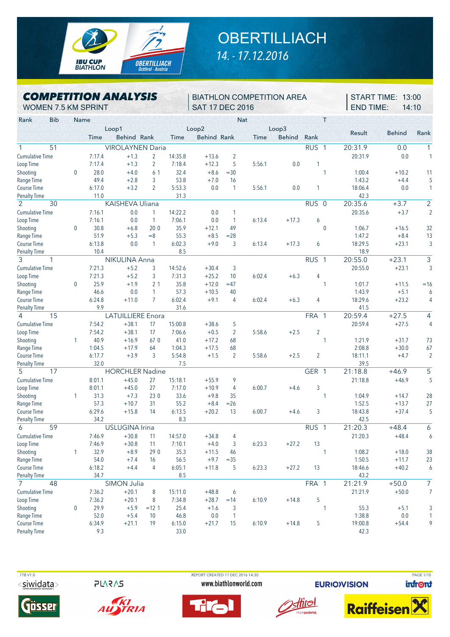

## **OBERTILLIACH** *14. - 17.12.2016*

*COMPETITION ANALYSIS* WOMEN 7.5 KM SPRINT

BIATHLON COMPETITION AREA SAT 17 DEC 2016

START TIME: 13:00 END TIME: 14:10

| <b>Bib</b><br>Rank     | Name         |             |                          |                |             |                    | <b>Nat</b>     |             |               | Т                |         |               |                         |
|------------------------|--------------|-------------|--------------------------|----------------|-------------|--------------------|----------------|-------------|---------------|------------------|---------|---------------|-------------------------|
|                        |              |             | Loop1                    |                |             | Loop2              |                |             | Loop3         |                  | Result  | <b>Behind</b> | Rank                    |
|                        |              | <b>Time</b> | Behind Rank              |                | <b>Time</b> | <b>Behind Rank</b> |                | <b>Time</b> | <b>Behind</b> | Rank             |         |               |                         |
| 51                     |              |             | <b>VIROLAYNEN Daria</b>  |                |             |                    |                |             |               | RUS <sub>1</sub> | 20:31.9 | 0.0           | 1                       |
| <b>Cumulative Time</b> |              | 7:17.4      | $+1.3$                   | 2              | 14:35.8     | $+13.6$            | $\overline{c}$ |             |               |                  | 20:31.9 | 0.0           |                         |
| Loop Time              |              | 7:17.4      | $+1.3$                   | $\overline{2}$ | 7:18.4      | $+12.3$            | 5              | 5:56.1      | 0.0           | 1                |         |               |                         |
| Shooting               | $\mathbf 0$  | 28.0        | $+4.0$                   | 61             | 32.4        | $+8.6$             | $= 30$         |             |               | 1                | 1:00.4  | $+10.2$       | 11                      |
| Range Time             |              | 49.4        | $+2.8$                   | 3              | 53.8        | $+7.0$             | 16             |             |               |                  | 1:43.2  | $+4.4$        |                         |
| Course Time            |              | 6:17.0      | $+3.2$                   | $\overline{2}$ | 5:53.3      | 0.0                | 1              | 5:56.1      | 0.0           | 1                | 18:06.4 | 0.0           |                         |
| <b>Penalty Time</b>    |              | 11.0        |                          |                | 31.3        |                    |                |             |               |                  | 42.3    |               |                         |
| $\overline{2}$<br>30   |              |             | KAISHEVA Uliana          |                |             |                    |                |             |               | RUS <sub>0</sub> | 20:35.6 | $+3.7$        | $\overline{2}$          |
| Cumulative Time        |              | 7:16.1      | 0.0                      | $\mathbf{1}$   | 14:22.2     | 0.0                | 1              |             |               |                  | 20:35.6 | $+3.7$        | ź                       |
| Loop Time              |              | 7:16.1      | 0.0                      | $\mathbf{1}$   | 7:06.1      | 0.0                | 1              | 6:13.4      | $+17.3$       | 6                |         |               |                         |
| Shooting               | $\mathbf{0}$ | 30.8        | $+6.8$                   | 200            | 35.9        | $+12.1$            | 49             |             |               | $\mathbf{0}$     | 1:06.7  | $+16.5$       | 32                      |
| Range Time             |              | 51.9        | $+5.3$                   | $=8$           | 55.3        | $+8.5$             | $= 28$         |             |               |                  | 1:47.2  | $+8.4$        | 13                      |
| Course Time            |              | 6:13.8      | 0.0                      | $\mathbf{1}$   | 6:02.3      | $+9.0$             | 3              | 6:13.4      | $+17.3$       | 6                | 18:29.5 | $+23.1$       | ă                       |
| <b>Penalty Time</b>    |              | 10.4        |                          |                | 8.5         |                    |                |             |               |                  | 18.9    |               |                         |
| 3<br>1                 |              |             | NIKULINA Anna            |                |             |                    |                |             |               | RUS <sub>1</sub> | 20:55.0 | $+23.1$       | 3                       |
| <b>Cumulative Time</b> |              | 7:21.3      | $+5.2$                   | 3              | 14:52.6     | $+30.4$            | 3              |             |               |                  | 20:55.0 | $+23.1$       | Ś                       |
| Loop Time              |              | 7:21.3      | $+5.2$                   | 3              | 7:31.3      | $+25.2$            | 10             | 6:02.4      | $+6.3$        | 4                |         |               |                         |
| Shooting               | $\mathbf{0}$ | 25.9        | $+1.9$                   | 2 <sub>1</sub> | 35.8        | $+12.0$            | $=47$          |             |               | 1                | 1:01.7  | $+11.5$       | $=16$                   |
| Range Time             |              | 46.6        | 0.0                      | $\mathbf{1}$   | 57.3        | $+10.5$            | 40             |             |               |                  | 1:43.9  | $+5.1$        | $\epsilon$              |
| Course Time            |              | 6:24.8      | $+11.0$                  | $\overline{7}$ | 6:02.4      | $+9.1$             | 4              | 6:02.4      | $+6.3$        | 4                | 18:29.6 | $+23.2$       | $\overline{\mathbf{r}}$ |
| <b>Penalty Time</b>    |              | 9.9         |                          |                | 31.6        |                    |                |             |               |                  | 41.5    |               |                         |
| 15<br>4                |              |             | <b>LATUILLIERE</b> Enora |                |             |                    |                |             |               | FRA 1            | 20:59.4 | $+27.5$       | 4                       |
| <b>Cumulative Time</b> |              | 7:54.2      | $+38.1$                  | 17             | 15:00.8     | $+38.6$            | 5              |             |               |                  | 20:59.4 | $+27.5$       | $\overline{\mathbf{r}}$ |
| Loop Time              |              | 7:54.2      | $+38.1$                  | 17             | 7:06.6      | $+0.5$             | $\overline{2}$ | 5:58.6      | $+2.5$        | $\overline{2}$   |         |               |                         |
| Shooting               | $\mathbf{1}$ | 40.9        | $+16.9$                  | 67 0           | 41.0        | $+17.2$            | 68             |             |               | 1                | 1:21.9  | $+31.7$       | 73                      |
| Range Time             |              | 1:04.5      | $+17.9$                  | 64             | 1:04.3      | $+17.5$            | 68             |             |               |                  | 2:08.8  | $+30.0$       | 67                      |
| Course Time            |              | 6:17.7      | $+3.9$                   | 3              | 5:54.8      | $+1.5$             | $\overline{2}$ | 5:58.6      | $+2.5$        | $\overline{2}$   | 18:11.1 | $+4.7$        | ź                       |
| <b>Penalty Time</b>    |              | 32.0        |                          |                | 7.5         |                    |                |             |               |                  | 39.5    |               |                         |
| 5<br>17                |              |             | <b>HORCHLER Nadine</b>   |                |             |                    |                |             |               | GER 1            | 21:18.8 | $+46.9$       | $\overline{5}$          |
| Cumulative Time        |              | 8:01.1      | $+45.0$                  | 27             | 15:18.1     | $+55.9$            | 9              |             |               |                  | 21:18.8 | $+46.9$       | $\overline{\cdot}$      |
| Loop Time              |              | 8:01.1      | $+45.0$                  | 27             | 7:17.0      | $+10.9$            | $\overline{4}$ | 6:00.7      | $+4.6$        | 3                |         |               |                         |
| Shooting               | $\mathbf{1}$ | 31.3        | $+7.3$                   | 23 0           | 33.6        | $+9.8$             | 35             |             |               | 1                | 1:04.9  | $+14.7$       | 28                      |
| Range Time             |              | 57.3        | $+10.7$                  | 31             | 55.2        | $+8.4$             | $=26$          |             |               |                  | 1:52.5  | $+13.7$       | 27                      |
| Course Time            |              | 6:29.6      | $+15.8$                  | 14             | 6:13.5      | $+20.2$            | 13             | 6:00.7      | $+4.6$        | 3                | 18:43.8 | $+37.4$       | Į.                      |
| <b>Penalty Time</b>    |              | 34.2        |                          |                | 8.3         |                    |                |             |               |                  | 42.5    |               |                         |
| 59<br>6                |              |             | <b>USLUGINA Irina</b>    |                |             |                    |                |             |               | RUS <sub>1</sub> | 21:20.3 | $+48.4$       | 6                       |
| <b>Cumulative Time</b> |              | 7:46.9      | $+30.8$                  | 11             | 14:57.0     | $+34.8$            | 4              |             |               |                  | 21:20.3 | $+48.4$       | $\epsilon$              |
| Loop Time              |              | 7:46.9      | $+30.8$                  | 11             | 7:10.1      | $+4.0$             | 3              | 6:23.3      | $+27.2$       | 13               |         |               |                         |
| Shooting               | 1            | 32.9        | $+8.9$                   | 29 0           | 35.3        | $+11.5$            | 46             |             |               | 1                | 1:08.2  | $+18.0$       | 38                      |
| Range Time             |              | 54.0        | $+7.4$                   | 16             | 56.5        | $+9.7$             | $= 35$         |             |               |                  | 1:50.5  | $+11.7$       | 23                      |
| Course Time            |              | 6:18.2      | $+4.4$                   | $\overline{4}$ | 6:05.1      | $+11.8$            | 5              | 6:23.3      | $+27.2$       | 13               | 18:46.6 | $+40.2$       | $\epsilon$              |
| <b>Penalty Time</b>    |              | 34.7        |                          |                | 8.5         |                    |                |             |               |                  | 43.2    |               |                         |
| $\overline{7}$<br>48   |              |             | SIMON Julia              |                |             |                    |                |             |               | FRA 1            | 21:21.9 | $+50.0$       | $\overline{7}$          |
| <b>Cumulative Time</b> |              | 7:36.2      | $+20.1$                  | 8              | 15:11.0     | $+48.8$            | 6              |             |               |                  | 21:21.9 | $+50.0$       | ī                       |
| Loop Time              |              | 7:36.2      | $+20.1$                  | 8              | 7:34.8      | $+28.7$            | $=14$          | 6:10.9      | $+14.8$       | 5                |         |               |                         |
| Shooting               | $\mathbf 0$  | 29.9        | $+5.9$                   | $=12.1$        | 25.4        | $+1.6$             | 3              |             |               | 1                | 55.3    | $+5.1$        |                         |
| Range Time             |              | 52.0        | $+5.4$                   | 10             | 46.8        | $0.0\,$            | $\overline{1}$ |             |               |                  | 1:38.8  | 0.0           |                         |
| Course Time            |              | 6:34.9      | $+21.1$                  | 19             | 6:15.0      | $+21.7$            | 15             | 6:10.9      | $+14.8$       | 5                | 19:00.8 | $+54.4$       |                         |
| <b>Penalty Time</b>    |              | 9.3         |                          |                | 33.0        |                    |                |             |               |                  | 42.3    |               |                         |
|                        |              |             |                          |                |             |                    |                |             |               |                  |         |               |                         |

<siwidata>

**245AJS** 

TRIA



 77B V1.0 REPORT CREATED 17 DEC 2016 14:30 PAGE 1/10www.biathlonworld.com





**EURIOVISION** 



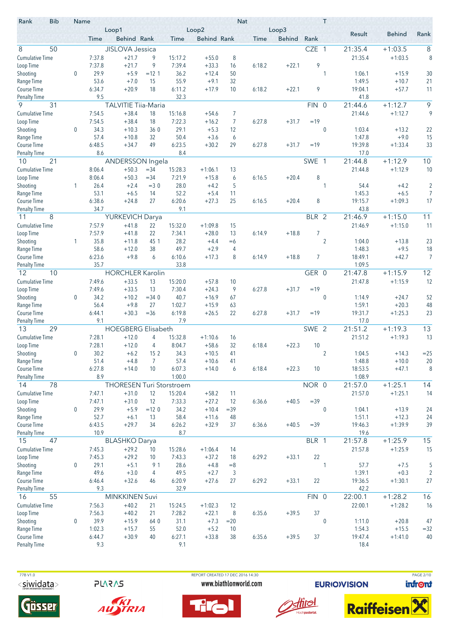| Rank                                | <b>Bib</b> | Name             |                  | Loop1                                 |                 |                   | Loop2                |          | <b>Nat</b> | Loop3         |                  | T                |                   |                      |                |
|-------------------------------------|------------|------------------|------------------|---------------------------------------|-----------------|-------------------|----------------------|----------|------------|---------------|------------------|------------------|-------------------|----------------------|----------------|
|                                     |            |                  | Time             | Behind Rank                           |                 | Time              | <b>Behind Rank</b>   |          | Time       | <b>Behind</b> | Rank             |                  | Result            | <b>Behind</b>        | Rank           |
| 8                                   | 50         |                  |                  | <b>JISLOVA Jessica</b>                |                 |                   |                      |          |            |               | CZE 1            |                  | 21:35.4           | $+1:03.5$            | 8              |
| <b>Cumulative Time</b>              |            |                  | 7:37.8           | $+21.7$                               | 9               | 15:17.2           | $+55.0$              | 8        |            |               |                  |                  | 21:35.4           | $+1:03.5$            | 8              |
| Loop Time                           |            |                  | 7:37.8           | $+21.7$                               | 9               | 7:39.4            | $+33.3$              | 16       | 6:18.2     | $+22.1$       | 9                |                  |                   |                      |                |
| Shooting                            |            | 0                | 29.9             | $+5.9$                                | $=12.1$         | 36.2              | $+12.4$              | 50       |            |               |                  | 1                | 1:06.1            | $+15.9$              | 30             |
| Range Time                          |            |                  | 53.6             | $+7.0$                                | 15              | 55.9              | $+9.1$               | 32       |            |               |                  |                  | 1:49.5            | $+10.7$              | 21             |
| <b>Course Time</b>                  |            |                  | 6:34.7           | $+20.9$                               | 18              | 6:11.2            | $+17.9$              | 10       | 6:18.2     | $+22.1$       | 9                |                  | 19:04.1           | $+57.7$              | 11             |
| <b>Penalty Time</b><br>9            |            |                  | 9.5              |                                       |                 | 32.3              |                      |          |            |               | FIN <sub>0</sub> |                  | 41.8<br>21:44.6   |                      | $\overline{9}$ |
|                                     | 31         |                  |                  | <b>TALVITIE Tiia-Maria</b><br>$+38.4$ |                 |                   |                      |          |            |               |                  |                  |                   | $+1:12.7$            | 9              |
| <b>Cumulative Time</b><br>Loop Time |            |                  | 7:54.5<br>7:54.5 | $+38.4$                               | 18<br>18        | 15:16.8<br>7:22.3 | $+54.6$<br>$+16.2$   | 7<br>7   | 6:27.8     | $+31.7$       | $=19$            |                  | 21:44.6           | $+1:12.7$            |                |
| Shooting                            |            | $\mathbf 0$      | 34.3             | $+10.3$                               | 36 0            | 29.1              | $+5.3$               | 12       |            |               |                  | $\mathbf{0}$     | 1:03.4            | $+13.2$              | 22             |
| Range Time                          |            |                  | 57.4             | $+10.8$                               | 32              | 50.4              | $+3.6$               | 6        |            |               |                  |                  | 1:47.8            | $+9.0$               | 15             |
| <b>Course Time</b>                  |            |                  | 6:48.5           | $+34.7$                               | 49              | 6:23.5            | $+30.2$              | 29       | 6:27.8     | $+31.7$       | $=19$            |                  | 19:39.8           | $+1:33.4$            | 33             |
| <b>Penalty Time</b>                 |            |                  | 8.6              |                                       |                 | 8.4               |                      |          |            |               |                  |                  | 17.0              |                      |                |
| 10                                  | 21         |                  |                  | ANDERSSON Ingela                      |                 |                   |                      |          |            |               | SWE 1            |                  | 21:44.8           | $+1:12.9$            | 10             |
| <b>Cumulative Time</b>              |            |                  | 8:06.4           | $+50.3$                               | $= 34$          | 15:28.3           | $+1:06.1$            | 13       |            |               |                  |                  | 21:44.8           | $+1:12.9$            | 10             |
| Loop Time                           |            |                  | 8:06.4           | $+50.3$                               | $= 34$          | 7:21.9            | $+15.8$              | 6        | 6:16.5     | $+20.4$       | 8                |                  |                   |                      |                |
| Shooting                            |            | 1                | 26.4             | $+2.4$                                | $=3.0$          | 28.0              | $+4.2$               | 5        |            |               |                  | 1                | 54.4              | $+4.2$               | $\overline{2}$ |
| Range Time                          |            |                  | 53.1             | $+6.5$                                | 14              | 52.2              | $+5.4$               | 11       |            |               |                  |                  | 1:45.3            | $+6.5$               | 7              |
| <b>Course Time</b>                  |            |                  | 6:38.6           | $+24.8$                               | 27              | 6:20.6            | $+27.3$              | 25       | 6:16.5     | $+20.4$       | 8                |                  | 19:15.7           | $+1:09.3$            | 17             |
| <b>Penalty Time</b>                 |            |                  | 34.7             |                                       |                 | 9.1               |                      |          |            |               |                  |                  | 43.8              |                      | 11             |
| 8<br>11<br><b>Cumulative Time</b>   |            |                  |                  | <b>YURKEVICH Darya</b>                |                 |                   |                      |          |            |               | BLR 2            |                  | 21:46.9           | $+1:15.0$            |                |
| Loop Time                           |            |                  | 7:57.9<br>7:57.9 | $+41.8$<br>$+41.8$                    | 22<br>22        | 15:32.0<br>7:34.1 | $+1:09.8$<br>$+28.0$ | 15<br>13 | 6:14.9     | $+18.8$       | 7                |                  | 21:46.9           | $+1:15.0$            | 11             |
| Shooting                            |            | 1                | 35.8             | $+11.8$                               | 45 1            | 28.2              | $+4.4$               | $=6$     |            |               |                  | $\overline{2}$   | 1:04.0            | $+13.8$              | 23             |
| Range Time                          |            |                  | 58.6             | $+12.0$                               | 38              | 49.7              | $+2.9$               | 4        |            |               |                  |                  | 1:48.3            | $+9.5$               | 18             |
| <b>Course Time</b>                  |            |                  | 6:23.6           | $+9.8$                                | 6               | 6:10.6            | $+17.3$              | 8        | 6:14.9     | $+18.8$       | 7                |                  | 18:49.1           | $+42.7$              | 7              |
| <b>Penalty Time</b>                 |            |                  | 35.7             |                                       |                 | 33.8              |                      |          |            |               |                  |                  | 1:09.5            |                      |                |
| 12                                  | 10         |                  |                  | <b>HORCHLER Karolin</b>               |                 |                   |                      |          |            |               | GER 0            |                  | 21:47.8           | $+1:15.9$            | 12             |
| <b>Cumulative Time</b>              |            |                  | 7:49.6           | $+33.5$                               | 13              | 15:20.0           | $+57.8$              | 10       |            |               |                  |                  | 21:47.8           | $+1:15.9$            | 12             |
| Loop Time                           |            |                  | 7:49.6           | $+33.5$                               | 13              | 7:30.4            | $+24.3$              | 9        | 6:27.8     | $+31.7$       | $=19$            |                  |                   |                      |                |
| Shooting                            |            | $\mathbf 0$      | 34.2             | $+10.2$                               | $= 34.0$        | 40.7              | $+16.9$              | 67       |            |               |                  | 0                | 1:14.9            | $+24.7$              | 52             |
| Range Time                          |            |                  | 56.4             | $+9.8$                                | 27              | 1:02.7            | $+15.9$              | 63       |            |               |                  |                  | 1:59.1            | $+20.3$              | 48             |
| <b>Course Time</b>                  |            |                  | 6:44.1<br>9.1    | $+30.3$                               | $=36$           | 6:19.8            | $+26.5$              | 22       | 6:27.8     | $+31.7$       | $=19$            |                  | 19:31.7           | $+1:25.3$            | 23             |
| <b>Penalty Time</b><br>13           | 29         |                  |                  | <b>HOEGBERG Elisabeth</b>             |                 | 7.9               |                      |          |            |               | SWE 2            |                  | 17.0<br>21:51.2   | $+1:19.3$            | 13             |
| <b>Cumulative Time</b>              |            |                  | 7:28.1           | $+12.0$                               | 4               | 15:32.8           | $+1:10.6$            | 16       |            |               |                  |                  | 21:51.2           | $+1:19.3$            | 13             |
| Loop Time                           |            |                  | 7:28.1           | $+12.0$                               | 4               | 8:04.7            | $+58.6$              | 32       | 6:18.4     | $+22.3$       | 10               |                  |                   |                      |                |
| Shooting                            |            | $\Omega$         | 30.2             | $+6.2$                                | 15 <sub>2</sub> | 34.3              | $+10.5$              | 41       |            |               |                  | $\overline{2}$   | 1:04.5            | $+14.3$              | $= 25$         |
| Range Time                          |            |                  | 51.4             | $+4.8$                                | 7               | 57.4              | $+10.6$              | 41       |            |               |                  |                  | 1:48.8            | $+10.0$              | 20             |
| Course Time                         |            |                  | 6:27.8           | $+14.0$                               | 10              | 6:07.3            | $+14.0$              | 6        | 6:18.4     | $+22.3$       | 10               |                  | 18:53.5           | $+47.1$              | 8              |
| <b>Penalty Time</b>                 |            |                  | 8.9              |                                       |                 | 1:00.0            |                      |          |            |               |                  |                  | 1:08.9            |                      |                |
| 14                                  | 78         |                  |                  | <b>THORESEN Turi Storstroem</b>       |                 |                   |                      |          |            |               | NOR 0            |                  | 21:57.0           | $+1:25.1$            | 14             |
| <b>Cumulative Time</b>              |            |                  | 7:47.1           | $+31.0$                               | 12              | 15:20.4           | $+58.2$              | 11       |            |               |                  |                  | 21:57.0           | $+1:25.1$            | 14             |
| Loop Time                           |            |                  | 7:47.1           | $+31.0$                               | 12              | 7:33.3            | $+27.2$              | 12       | 6:36.6     | $+40.5$       | $= 39$           |                  |                   |                      |                |
| Shooting                            |            | $\mathbf 0$      | 29.9             | $+5.9$                                | $=120$          | 34.2              | $+10.4$              | $=39$    |            |               |                  | $\boldsymbol{0}$ | 1:04.1            | $+13.9$              | 24             |
| Range Time<br>Course Time           |            |                  | 52.7             | $+6.1$                                | 13              | 58.4              | $+11.6$              | 48       |            |               |                  |                  | 1:51.1            | $+12.3$              | 24             |
| <b>Penalty Time</b>                 |            |                  | 6:43.5<br>10.9   | $+29.7$                               | 34              | 6:26.2<br>8.7     | $+32.9$              | 37       | 6:36.6     | $+40.5$       | $=39$            |                  | 19:46.3<br>19.6   | $+1:39.9$            | 39             |
| 15                                  | 47         |                  |                  | <b>BLASHKO Darya</b>                  |                 |                   |                      |          |            |               | BLR 1            |                  | 21:57.8           | $+1:25.9$            | 15             |
| <b>Cumulative Time</b>              |            |                  | 7:45.3           | $+29.2$                               | 10              | 15:28.6           | $+1:06.4$            | 14       |            |               |                  |                  | 21:57.8           | $+1:25.9$            | 15             |
| Loop Time                           |            |                  | 7:45.3           | $+29.2$                               | 10              | 7:43.3            | $+37.2$              | 18       | 6:29.2     | $+33.1$       | 22               |                  |                   |                      |                |
| Shooting                            |            | $\boldsymbol{0}$ | 29.1             | $+5.1$                                | 91              | 28.6              | $+4.8$               | $=8$     |            |               |                  | 1                | 57.7              | $+7.5$               | 5              |
| Range Time                          |            |                  | 49.6             | $+3.0$                                | 4               | 49.5              | $+2.7$               | 3        |            |               |                  |                  | 1:39.1            | $+0.3$               | $\overline{2}$ |
| Course Time                         |            |                  | 6:46.4           | $+32.6$                               | 46              | 6:20.9            | $+27.6$              | 27       | 6:29.2     | $+33.1$       | 22               |                  | 19:36.5           | $+1:30.1$            | 27             |
| <b>Penalty Time</b>                 |            |                  | 9.3              |                                       |                 | 32.9              |                      |          |            |               |                  |                  | 42.2              |                      |                |
| 16                                  | 55         |                  |                  | <b>MINKKINEN Suvi</b>                 |                 |                   |                      |          |            |               | FIN 0            |                  | 22:00.1           | $+1:28.2$            | 16             |
| <b>Cumulative Time</b>              |            |                  | 7:56.3           | $+40.2$                               | 21              | 15:24.5           | $+1:02.3$            | 12       |            |               |                  |                  | 22:00.1           | $+1:28.2$            | 16             |
| Loop Time                           |            |                  | 7:56.3           | $+40.2$                               | 21              | 7:28.2            | $+22.1$              | 8        | 6:35.6     | $+39.5$       | 37               |                  |                   |                      |                |
| Shooting                            |            | $\mathbf 0$      | 39.9             | $+15.9$                               | 64 0            | 31.1              | $+7.3$               | $= 20$   |            |               |                  | $\mathbf 0$      | 1:11.0            | $+20.8$              | 47             |
| Range Time<br>Course Time           |            |                  | 1:02.3<br>6:44.7 | $+15.7$<br>$+30.9$                    | 55<br>40        | 52.0<br>6:27.1    | $+5.2$<br>$+33.8$    | 10<br>38 | 6:35.6     | $+39.5$       | 37               |                  | 1:54.3<br>19:47.4 | $+15.5$<br>$+1:41.0$ | $= 32$<br>40   |
| <b>Penalty Time</b>                 |            |                  | 9.3              |                                       |                 | 9.1               |                      |          |            |               |                  |                  | 18.4              |                      |                |
|                                     |            |                  |                  |                                       |                 |                   |                      |          |            |               |                  |                  |                   |                      |                |

77B V1.0  $<$ siwidata>

**PLARAS** 



AUSTRIA









**EURIOVISION** 

PAGE 2/10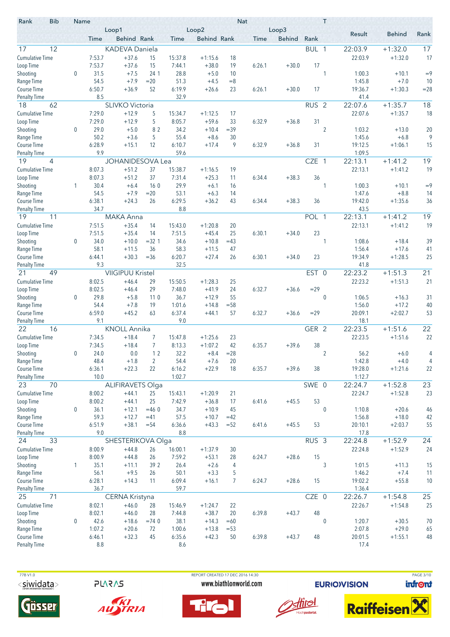| <b>Bib</b><br>Rank              | Name         |                | Loop1                   |                |                | Loop2              |              | <b>Nat</b> | Loop3         |                  | T              |                   |                      |          |
|---------------------------------|--------------|----------------|-------------------------|----------------|----------------|--------------------|--------------|------------|---------------|------------------|----------------|-------------------|----------------------|----------|
|                                 |              | Time           | <b>Behind Rank</b>      |                | Time           | <b>Behind Rank</b> |              | Time       | <b>Behind</b> | Rank             |                | Result            | <b>Behind</b>        | Rank     |
| 12<br>17                        |              |                | <b>KADEVA Daniela</b>   |                |                |                    |              |            |               | BUL 1            |                | 22:03.9           | $+1:32.0$            | 17       |
| <b>Cumulative Time</b>          |              | 7:53.7         | $+37.6$                 | 15             | 15:37.8        | $+1:15.6$          | 18           |            |               |                  |                | 22:03.9           | $+1:32.0$            | 17       |
| Loop Time                       |              | 7:53.7         | $+37.6$                 | 15             | 7:44.1         | $+38.0$            | 19           | 6:26.1     | $+30.0$       | 17               |                |                   |                      |          |
| Shooting                        | $\mathbf{0}$ | 31.5           | $+7.5$                  | 24 1           | 28.8           | $+5.0$             | 10           |            |               |                  | 1              | 1:00.3            | $+10.1$              | $=9$     |
| Range Time                      |              | 54.5           | $+7.9$                  | $= 20$         | 51.3           | $+4.5$             | $=8$         |            |               |                  |                | 1:45.8            | $+7.0$               | 10       |
| Course Time                     |              | 6:50.7         | $+36.9$                 | 52             | 6:19.9         | $+26.6$            | 23           | 6:26.1     | $+30.0$       | 17               |                | 19:36.7           | $+1:30.3$            | $= 28$   |
| <b>Penalty Time</b>             |              | 8.5            |                         |                | 32.9           |                    |              |            |               |                  |                | 41.4              |                      |          |
| 62<br>18                        |              |                | <b>SLIVKO Victoria</b>  |                |                |                    |              |            |               | RUS <sub>2</sub> |                | 22:07.6           | $+1:35.7$            | 18       |
| <b>Cumulative Time</b>          |              | 7:29.0         | $+12.9$                 | 5              | 15:34.7        | $+1:12.5$          | 17           |            |               |                  |                | 22:07.6           | $+1:35.7$            | 18       |
| Loop Time                       |              | 7:29.0         | $+12.9$                 | 5              | 8:05.7         | $+59.6$            | 33           | 6:32.9     | $+36.8$       | 31               |                |                   |                      |          |
| Shooting                        | 0            | 29.0<br>50.2   | $+5.0$                  | 82             | 34.2<br>55.4   | $+10.4$            | $=39$        |            |               |                  | $\overline{2}$ | 1:03.2            | $+13.0$              | 20<br>9  |
| Range Time<br>Course Time       |              | 6:28.9         | $+3.6$<br>$+15.1$       | 5<br>12        | 6:10.7         | $+8.6$<br>$+17.4$  | 30<br>9      | 6:32.9     | $+36.8$       | 31               |                | 1:45.6<br>19:12.5 | $+6.8$<br>$+1:06.1$  | 15       |
| <b>Penalty Time</b>             |              | 9.9            |                         |                | 59.6           |                    |              |            |               |                  |                | 1:09.5            |                      |          |
| 19<br>4                         |              |                | <b>JOHANIDESOVA Lea</b> |                |                |                    |              |            |               | <b>CZE</b>       | $\overline{1}$ | 22:13.1           | $+1:41.2$            | 19       |
| <b>Cumulative Time</b>          |              | 8:07.3         | $+51.2$                 | 37             | 15:38.7        | $+1:16.5$          | 19           |            |               |                  |                | 22:13.1           | $+1:41.2$            | 19       |
| Loop Time                       |              | 8:07.3         | $+51.2$                 | 37             | 7:31.4         | $+25.3$            | 11           | 6:34.4     | $+38.3$       | 36               |                |                   |                      |          |
| Shooting                        | 1            | 30.4           | $+6.4$                  | 160            | 29.9           | $+6.1$             | 16           |            |               |                  | 1              | 1:00.3            | $+10.1$              | $=9$     |
| Range Time                      |              | 54.5           | $+7.9$                  | $= 20$         | 53.1           | $+6.3$             | 14           |            |               |                  |                | 1:47.6            | $+8.8$               | 14       |
| Course Time                     |              | 6:38.1         | $+24.3$                 | 26             | 6:29.5         | $+36.2$            | 43           | 6:34.4     | $+38.3$       | 36               |                | 19:42.0           | $+1:35.6$            | 36       |
| <b>Penalty Time</b>             |              | 34.7           |                         |                | 8.8            |                    |              |            |               |                  |                | 43.5              |                      |          |
| 19<br>11                        |              |                | <b>MAKA Anna</b>        |                |                |                    |              |            |               | POL 1            |                | 22:13.1           | $+1:41.2$            | 19       |
| <b>Cumulative Time</b>          |              | 7:51.5         | $+35.4$                 | 14             | 15:43.0        | $+1:20.8$          | 20           |            |               |                  |                | 22:13.1           | $+1:41.2$            | 19       |
| Loop Time                       |              | 7:51.5         | $+35.4$                 | 14             | 7:51.5         | $+45.4$            | 25           | 6:30.1     | $+34.0$       | 23               |                |                   |                      |          |
| Shooting                        | $\mathbf 0$  | 34.0           | $+10.0$                 | $=32.1$        | 34.6           | $+10.8$            | $=43$        |            |               |                  | 1              | 1:08.6            | $+18.4$              | 39       |
| Range Time                      |              | 58.1           | $+11.5$                 | 36             | 58.3           | $+11.5$            | 47           |            |               |                  |                | 1:56.4            | $+17.6$              | 41       |
| Course Time                     |              | 6:44.1         | $+30.3$                 | $=36$          | 6:20.7         | $+27.4$            | 26           | 6:30.1     | $+34.0$       | 23               |                | 19:34.9           | $+1:28.5$            | 25       |
| <b>Penalty Time</b>             |              | 9.3            |                         |                | 32.5           |                    |              |            |               |                  |                | 41.8              |                      |          |
| 49<br>21                        |              |                | <b>VIIGIPUU Kristel</b> |                |                |                    |              |            |               | EST 0            |                | 22:23.2           | $+1:51.\overline{3}$ | 21       |
| <b>Cumulative Time</b>          |              | 8:02.5         | $+46.4$                 | 29             | 15:50.5        | $+1:28.3$          | 25           |            |               |                  |                | 22:23.2           | $+1:51.3$            | 21       |
| Loop Time                       |              | 8:02.5<br>29.8 | $+46.4$                 | 29             | 7:48.0         | $+41.9$<br>$+12.9$ | 24           | 6:32.7     | $+36.6$       | $=29$            |                |                   |                      |          |
| Shooting<br>Range Time          | 0            | 54.4           | $+5.8$<br>$+7.8$        | 110<br>19      | 36.7<br>1:01.6 | $+14.8$            | 55<br>$= 58$ |            |               |                  | $\mathbf{0}$   | 1:06.5<br>1:56.0  | $+16.3$<br>$+17.2$   | 31<br>40 |
| Course Time                     |              | 6:59.0         | $+45.2$                 | 63             | 6:37.4         | $+44.1$            | 57           | 6:32.7     | $+36.6$       | $=29$            |                | 20:09.1           | $+2:02.7$            | 53       |
| <b>Penalty Time</b>             |              | 9.1            |                         |                | 9.0            |                    |              |            |               |                  |                | 18.1              |                      |          |
| 22<br>16                        |              |                | <b>KNOLL Annika</b>     |                |                |                    |              |            |               | GER 2            |                | 22:23.5           | $+1:51.6$            | 22       |
| <b>Cumulative Time</b>          |              | 7:34.5         | $+18.4$                 | 7              | 15:47.8        | $+1:25.6$          | 23           |            |               |                  |                | 22:23.5           | $+1:51.6$            | 22       |
| Loop Time                       |              | 7:34.5         | $+18.4$                 | $\overline{7}$ | 8:13.3         | $+1:07.2$          | 42           | 6:35.7     | $+39.6$       | 38               |                |                   |                      |          |
| Shooting                        | 0            | 24.0           | 0.0                     | 12             | 32.2           | $+8.4$             | $= 28$       |            |               |                  | 2              | 56.2              | $+6.0$               | 4        |
| Range Time                      |              | 48.4           | $+1.8$                  | 2              | 54.4           | $+7.6$             | 20           |            |               |                  |                | 1:42.8            | $+4.0$               | 4        |
| Course Time                     |              | 6:36.1         | $+22.3$                 | 22             | 6:16.2         | $+22.9$            | 18           | 6:35.7     | $+39.6$       | 38               |                | 19:28.0           | $+1:21.6$            | 22       |
| <b>Penalty Time</b>             |              | 10.0           |                         |                | 1:02.7         |                    |              |            |               |                  |                | 1:12.7            |                      |          |
| 70<br>23                        |              |                | <b>ALIFIRAVETS Olga</b> |                |                |                    |              |            |               | SWE 0            |                | 22:24.7           | $+1:52.8$            | 23       |
| <b>Cumulative Time</b>          |              | 8:00.2         | $+44.1$                 | 25             | 15:43.1        | $+1:20.9$          | 21           |            |               |                  |                | 22:24.7           | $+1:52.8$            | 23       |
| Loop Time                       |              | 8:00.2         | $+44.1$                 | 25             | 7:42.9         | $+36.8$            | 17           | 6:41.6     | $+45.5$       | 53               |                |                   |                      |          |
| Shooting                        | 0            | 36.1           | $+12.1$                 | $=460$         | 34.7           | $+10.9$            | 45           |            |               |                  | $\mathbf 0$    | 1:10.8            | $+20.6$              | 46       |
| Range Time                      |              | 59.3           | $+12.7$                 | $=41$          | 57.5           | $+10.7$            | $=42$        |            |               |                  |                | 1:56.8            | $+18.0$              | 42       |
| Course Time                     |              | 6:51.9<br>9.0  | $+38.1$                 | $= 54$         | 6:36.6<br>8.8  | $+43.3$            | $= 52$       | 6:41.6     | $+45.5$       | 53               |                | 20:10.1<br>17.8   | $+2:03.7$            | 55       |
| <b>Penalty Time</b><br>24<br>33 |              |                | SHESTERIKOVA Olga       |                |                |                    |              |            |               | RUS <sub>3</sub> |                | 22:24.8           | $+1:52.9$            | 24       |
| <b>Cumulative Time</b>          |              | 8:00.9         | $+44.8$                 | 26             | 16:00.1        | $+1:37.9$          | 30           |            |               |                  |                | 22:24.8           | $+1:52.9$            | 24       |
| Loop Time                       |              | 8:00.9         | $+44.8$                 | 26             | 7:59.2         | $+53.1$            | 28           | 6:24.7     | $+28.6$       | 15               |                |                   |                      |          |
| Shooting                        | 1            | 35.1           | $+11.1$                 | 39 2           | 26.4           | $+2.6$             | 4            |            |               |                  | 3              | 1:01.5            | $+11.3$              | 15       |
| Range Time                      |              | 56.1           | $+9.5$                  | 26             | 50.1           | $+3.3$             | 5            |            |               |                  |                | 1:46.2            | $+7.4$               | 11       |
| Course Time                     |              | 6:28.1         | $+14.3$                 | 11             | 6:09.4         | $+16.1$            | 7            | 6:24.7     | $+28.6$       | 15               |                | 19:02.2           | $+55.8$              | 10       |
| <b>Penalty Time</b>             |              | 36.7           |                         |                | 59.7           |                    |              |            |               |                  |                | 1:36.4            |                      |          |
| 25<br>71                        |              |                | CERNA Kristyna          |                |                |                    |              |            |               | CZE 0            |                | 22:26.7           | $+1:54.8$            | 25       |
| <b>Cumulative Time</b>          |              | 8:02.1         | $+46.0$                 | 28             | 15:46.9        | $+1:24.7$          | 22           |            |               |                  |                | 22:26.7           | $+1:54.8$            | 25       |
| Loop Time                       |              | 8:02.1         | $+46.0$                 | 28             | 7:44.8         | $+38.7$            | 20           | 6:39.8     | $+43.7$       | 48               |                |                   |                      |          |
| Shooting                        | 0            | 42.6           | $+18.6$                 | $=74.0$        | 38.1           | $+14.3$            | $=60$        |            |               |                  | $\mathbf 0$    | 1:20.7            | $+30.5$              | 70       |
| Range Time                      |              | 1:07.2         | $+20.6$                 | 72             | 1:00.6         | $+13.8$            | $= 53$       |            |               |                  |                | 2:07.8            | $+29.0$              | 65       |
| Course Time                     |              | 6:46.1         | $+32.3$                 | 45             | 6:35.6         | $+42.3$            | 50           | 6:39.8     | $+43.7$       | 48               |                | 20:01.5           | $+1:55.1$            | 48       |
| <b>Penalty Time</b>             |              | 8.8            |                         |                | 8.6            |                    |              |            |               |                  |                | 17.4              |                      |          |

77B V1.0  $<$ siwidata>

**PLARAS** 





REPORT CREATED 17 DEC 2016 14:30 www.biathlonworld.com





**EURIOVISION** 



PAGE 3/10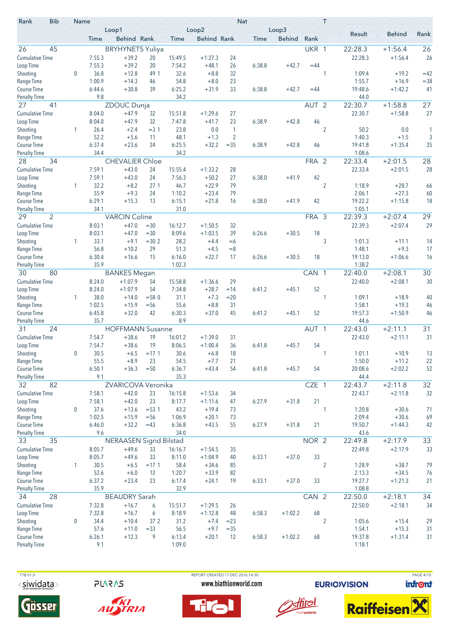| <b>Bib</b><br>Rank        | Name |                | Loop1                          |                   |              | Loop2              |                | <b>Nat</b> | Loop3         |                  | Τ              |                  |                    |                 |
|---------------------------|------|----------------|--------------------------------|-------------------|--------------|--------------------|----------------|------------|---------------|------------------|----------------|------------------|--------------------|-----------------|
|                           |      | Time           | Behind Rank                    |                   | Time         | <b>Behind Rank</b> |                | Time       | <b>Behind</b> | Rank             |                | Result           | <b>Behind</b>      | Rank            |
| 26<br>45                  |      |                | <b>BRYHYNETS Yuliya</b>        |                   |              |                    |                |            |               | UKR 1            |                | 22:28.3          | $+1:56.4$          | 26              |
| <b>Cumulative Time</b>    |      | 7:55.3         | $+39.2$                        | 20                | 15:49.5      | $+1:27.3$          | 24             |            |               |                  |                | 22:28.3          | $+1:56.4$          | 26              |
| Loop Time                 |      | 7:55.3         | $+39.2$                        | 20                | 7:54.2       | $+48.1$            | 26             | 6:38.8     | $+42.7$       | $=44$            |                |                  |                    |                 |
| Shooting                  | 0    | 36.8           | $+12.8$                        | 49 1              | 32.6         | $+8.8$             | 32             |            |               |                  | 1              | 1:09.4           | $+19.2$            | $=42$           |
| Range Time                |      | 1:00.9         | $+14.3$                        | 46                | 54.8         | $+8.0$             | 23             |            |               |                  |                | 1:55.7           | $+16.9$            | $= 38$          |
| Course Time               |      | 6:44.6         | $+30.8$                        | 39                | 6:25.2       | $+31.9$            | 33             | 6:38.8     | $+42.7$       | $=44$            |                | 19:48.6          | $+1:42.2$          | 41              |
| <b>Penalty Time</b>       |      | 9.8            |                                |                   | 34.2         |                    |                |            |               |                  |                | 44.0             |                    |                 |
| 27<br>41                  |      |                | ZDOUC Dunja                    |                   |              |                    |                |            |               | AUT <sub>2</sub> |                | 22:30.7          | $+1:58.8$          | $\overline{27}$ |
| <b>Cumulative Time</b>    |      | 8:04.0         | $+47.9$                        | 32                | 15:51.8      | $+1:29.6$          | 27             |            |               |                  |                | 22:30.7          | $+1:58.8$          | 27              |
| Loop Time                 |      | 8:04.0         | $+47.9$                        | 32                | 7:47.8       | $+41.7$            | 23             | 6:38.9     | $+42.8$       | 46               |                |                  |                    |                 |
| Shooting                  | 1    | 26.4           | $+2.4$                         | $= 3 \; 1$        | 23.8         | 0.0                | 1              |            |               |                  | $\overline{2}$ | 50.2             | 0.0                | 1               |
| Range Time                |      | 52.2           | $+5.6$                         | 11                | 48.1         | $+1.3$             | $\overline{2}$ |            |               |                  |                | 1:40.3           | $+1.5$             | 3               |
| Course Time               |      | 6:37.4         | $+23.6$                        | 24                | 6:25.5       | $+32.2$            | $= 35$         | 6:38.9     | $+42.8$       | 46               |                | 19:41.8          | $+1:35.4$          | 35              |
| <b>Penalty Time</b>       |      | 34.4           |                                |                   | 34.2         |                    |                |            |               |                  |                | 1:08.6           |                    |                 |
| 34<br>28                  |      |                | <b>CHEVALIER Chloe</b>         |                   |              |                    |                |            |               | FRA 2            |                | 22:33.4          | $+2:01.5$          | 28              |
| <b>Cumulative Time</b>    |      | 7:59.1         | $+43.0$                        | 24                | 15:55.4      | $+1:33.2$          | 28             |            |               |                  |                | 22:33.4          | $+2:01.5$          | 28              |
| Loop Time                 |      | 7:59.1         | $+43.0$                        | 24                | 7:56.3       | $+50.2$            | 27             | 6:38.0     | $+41.9$       | 42               |                |                  |                    |                 |
| Shooting                  | 1    | 32.2           | $+8.2$                         | 27 <sub>1</sub>   | 46.7         | $+22.9$            | 79             |            |               |                  | $\overline{2}$ | 1:18.9           | $+28.7$            | 66              |
| Range Time                |      | 55.9           | $+9.3$                         | 24                | 1:10.2       | $+23.4$            | 79             |            |               |                  |                | 2:06.1           | $+27.3$            | 60              |
| Course Time               |      | 6:29.1         | $+15.3$                        | 13                | 6:15.1       | $+21.8$            | 16             | 6:38.0     | $+41.9$       | 42               |                | 19:22.2          | $+1:15.8$          | 18              |
| <b>Penalty Time</b>       |      | 34.1           |                                |                   | 31.0         |                    |                |            |               |                  |                | 1:05.1           |                    |                 |
| 2<br>29                   |      |                | <b>VARCIN Coline</b>           |                   |              |                    |                |            |               | FRA 3            |                | 22:39.3          | $+2:07.4$          | 29              |
| <b>Cumulative Time</b>    |      | 8:03.1         | $+47.0$                        | $=30$             | 16:12.7      | $+1:50.5$          | 32             |            |               |                  |                | 22:39.3          | $+2:07.4$          | 29              |
| Loop Time                 |      | 8:03.1         | $+47.0$                        | $=30$             | 8:09.6       | $+1:03.5$          | 39             | 6:26.6     | $+30.5$       | 18               |                |                  |                    |                 |
| Shooting                  | 1    | 33.1           | $+9.1$                         | $=30.2$           | 28.2         | $+4.4$             | $=6$           |            |               |                  | 3              | 1:01.3           | $+11.1$            | 14              |
| Range Time                |      | 56.8           | $+10.2$                        | 29                | 51.3         | $+4.5$             | $=8$           |            |               |                  |                | 1:48.1           | $+9.3$             | 17              |
| Course Time               |      | 6:30.4         | $+16.6$                        | 15                | 6:16.0       | $+22.7$            | 17             | 6:26.6     | $+30.5$       | 18               |                | 19:13.0          | $+1:06.6$          | 16              |
| <b>Penalty Time</b>       |      | 35.9           |                                |                   | 1:02.3       |                    |                |            |               |                  |                | 1:38.2           |                    |                 |
| 80<br>30                  |      |                | <b>BANKES</b> Megan            |                   |              |                    |                |            |               | CAN 1            |                | 22:40.0          | $+2:08.1$          | 30              |
| <b>Cumulative Time</b>    |      | 8:24.0         | $+1:07.9$                      | 54                | 15:58.8      | $+1:36.6$          | 29             |            |               |                  |                | 22:40.0          | $+2:08.1$          | 30              |
| Loop Time                 |      | 8:24.0         | $+1:07.9$                      | 54                | 7:34.8       | $+28.7$            | $=14$          | 6:41.2     | $+45.1$       | 52               |                |                  |                    |                 |
| Shooting                  | 1    | 38.0<br>1:02.5 | $+14.0$<br>$+15.9$             | $= 580$<br>$= 56$ | 31.1<br>55.6 | $+7.3$<br>$+8.8$   | $= 20$<br>31   |            |               |                  | 1              | 1:09.1<br>1:58.1 | $+18.9$<br>$+19.3$ | 40<br>46        |
| Range Time<br>Course Time |      | 6:45.8         | $+32.0$                        | 42                | 6:30.3       | $+37.0$            | 45             | 6:41.2     | $+45.1$       | 52               |                | 19:57.3          | $+1:50.9$          | 46              |
| <b>Penalty Time</b>       |      | 35.7           |                                |                   | 8.9          |                    |                |            |               |                  |                | 44.6             |                    |                 |
| 24<br>31                  |      |                | <b>HOFFMANN Susanne</b>        |                   |              |                    |                |            |               | AUT <sub>1</sub> |                | 22:43.0          | $+2:11.1$          | 31              |
| <b>Cumulative Time</b>    |      | 7:54.7         | $+38.6$                        | 19                | 16:01.2      | $+1:39.0$          | 31             |            |               |                  |                | 22:43.0          | $+2:11.1$          | 31              |
| Loop Time                 |      | 7:54.7         | $+38.6$                        | 19                | 8:06.5       | $+1:00.4$          | 36             | 6:41.8     | $+45.7$       | 54               |                |                  |                    |                 |
| Shooting                  | 0    | $30.5$         | $+6.5$                         | $=17.1$           | 30.6         | $+6.8$             | 18             |            |               |                  |                | 1:01.1           | $+10.9$            | 13              |
| Range Time                |      | 55.5           | $+8.9$                         | 23                | 54.5         | $+7.7$             | 21             |            |               |                  |                | 1:50.0           | $+11.2$            | 22              |
| Course Time               |      | 6:50.1         | $+36.3$                        | $= 50$            | 6:36.7       | $+43.4$            | 54             | 6:41.8     | $+45.7$       | 54               |                | 20:08.6          | $+2:02.2$          | 52              |
| <b>Penalty Time</b>       |      | 9.1            |                                |                   | 35.3         |                    |                |            |               |                  |                | 44.4             |                    |                 |
| 82<br>32                  |      |                | ZVARICOVA Veronika             |                   |              |                    |                |            |               | CZE 1            |                | 22:43.7          | $+2:11.8$          | 32              |
| <b>Cumulative Time</b>    |      | 7:58.1         | $+42.0$                        | 23                | 16:15.8      | $+1:53.6$          | 34             |            |               |                  |                | 22:43.7          | $+2:11.8$          | 32              |
| Loop Time                 |      | 7:58.1         | $+42.0$                        | 23                | 8:17.7       | $+1:11.6$          | 47             | 6:27.9     | $+31.8$       | 21               |                |                  |                    |                 |
| Shooting                  | 0    | 37.6           | $+13.6$                        | $= 53.1$          | 43.2         | $+19.4$            | 73             |            |               |                  | 1              | 1:20.8           | $+30.6$            | 71              |
| Range Time                |      | 1:02.5         | $+15.9$                        | $=$ 56            | 1:06.9       | $+20.1$            | 73             |            |               |                  |                | 2:09.4           | $+30.6$            | 69              |
| Course Time               |      | 6:46.0         | $+32.2$                        | $=43$             | 6:36.8       | $+43.5$            | 55             | 6:27.9     | $+31.8$       | 21               |                | 19:50.7          | $+1:44.3$          | 42              |
| <b>Penalty Time</b>       |      | 9.6            |                                |                   | 34.0         |                    |                |            |               |                  |                | 43.6             |                    |                 |
| 35<br>33                  |      |                | <b>NERAASEN Sigrid Bilstad</b> |                   |              |                    |                |            |               | NOR 2            |                | 22:49.8          | $+2:17.9$          | 33              |
| <b>Cumulative Time</b>    |      | 8:05.7         | $+49.6$                        | 33                | 16:16.7      | $+1:54.5$          | 35             |            |               |                  |                | 22:49.8          | $+2:17.9$          | 33              |
| Loop Time                 |      | 8:05.7         | $+49.6$                        | 33                | 8:11.0       | $+1:04.9$          | 40             | 6:33.1     | $+37.0$       | 33               |                |                  |                    |                 |
| Shooting                  | 1    | 30.5           | $+6.5$                         | $=17.1$           | 58.4         | $+34.6$            | 85             |            |               |                  | $\overline{2}$ | 1:28.9           | $+38.7$            | 79              |
| Range Time                |      | 52.6           | $+6.0$                         | 12                | 1:20.7       | $+33.9$            | 82             |            |               |                  |                | 2:13.3           | $+34.5$            | 76              |
| Course Time               |      | 6:37.2         | $+23.4$                        | 23                | 6:17.4       | $+24.1$            | 19             | 6:33.1     | $+37.0$       | 33               |                | 19:27.7          | $+1:21.3$          | 21              |
| <b>Penalty Time</b>       |      | 35.9           |                                |                   | 32.9         |                    |                |            |               |                  |                | 1:08.8           |                    |                 |
| 28<br>34                  |      |                | <b>BEAUDRY Sarah</b>           |                   |              |                    |                |            |               | CAN 2            |                | 22:50.0          | $+2:18.1$          | 34              |
| <b>Cumulative Time</b>    |      | 7:32.8         | $+16.7$                        | 6                 | 15:51.7      | $+1:29.5$          | 26             |            |               |                  |                | 22:50.0          | $+2:18.1$          | 34              |
| Loop Time                 |      | 7:32.8         | $+16.7$                        | 6                 | 8:18.9       | $+1:12.8$          | 48             | 6:58.3     | $+1:02.2$     | 68               |                |                  |                    |                 |
| Shooting                  | 0    | 34.4           | $+10.4$                        | 37 2              | 31.2         | $+7.4$             | $= 23$         |            |               |                  | $\overline{2}$ | 1:05.6           | $+15.4$            | 29              |
| Range Time                |      | 57.6           | $+11.0$                        | $= 33$            | 56.5         | $+9.7$             | $=35$          |            |               |                  |                | 1:54.1           | $+15.3$            | 31              |
| Course Time               |      | 6:26.1         | $+12.3$                        | 9                 | 6:13.4       | $+20.1$            | 12             | 6:58.3     | $+1:02.2$     | 68               |                | 19:37.8          | $+1:31.4$          | 31              |
| <b>Penalty Time</b>       |      | 9.1            |                                |                   | 1:09.0       |                    |                |            |               |                  |                | 1:18.1           |                    |                 |

77B V1.0  $<$ siwidata>

**PLARAS** 





REPORT CREATED 17 DEC 2016 14:30 www.biathlonworld.com





**EURIOVISION** 



PAGE 4/10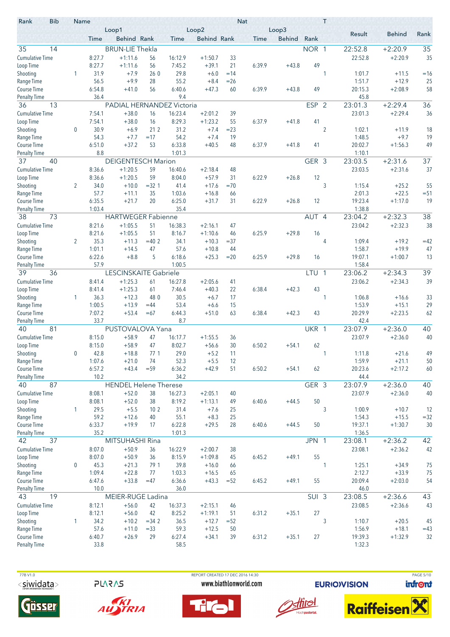| Result<br><b>Behind</b><br>Rank<br>Behind Rank<br><b>Behind Rank</b><br><b>Behind</b><br>Rank<br>Time<br>Time<br>Time<br>35<br>35<br>14<br><b>BRUN-LIE Thekla</b><br>NOR 1<br>22:52.8<br>$+2:20.9$<br><b>Cumulative Time</b><br>35<br>8:27.7<br>$+1:11.6$<br>16:12.9<br>$+1:50.7$<br>33<br>22:52.8<br>$+2:20.9$<br>56<br>8:27.7<br>7:45.2<br>$+39.1$<br>6:39.9<br>49<br>$+1:11.6$<br>56<br>21<br>$+43.8$<br>31.9<br>29.8<br>1<br>$+7.9$<br>260<br>$+6.0$<br>$=14$<br>1:01.7<br>$=16$<br>1<br>$+11.5$<br>$+9.9$<br>55.2<br>$+12.9$<br>25<br>Range Time<br>56.5<br>28<br>$+8.4$<br>$= 26$<br>1:51.7<br>58<br><b>Course Time</b><br>6:54.8<br>56<br>6:40.6<br>$+47.3$<br>6:39.9<br>$+43.8$<br>49<br>20:15.3<br>$+2:08.9$<br>$+41.0$<br>60<br>36.4<br>9.4<br>45.8<br><b>Penalty Time</b><br>36<br>13<br><b>ESP</b><br>$\overline{2}$<br>23:01.3<br>$+2:29.4$<br>36<br>PADIAL HERNANDEZ Victoria<br>16:23.4<br>$+2:29.4$<br>36<br><b>Cumulative Time</b><br>7:54.1<br>$+38.0$<br>$+2:01.2$<br>39<br>23:01.3<br>16<br>$+38.0$<br>8:29.3<br>$+1:23.2$<br>41<br>Loop Time<br>7:54.1<br>16<br>55<br>6:37.9<br>$+41.8$<br>30.9<br>31.2<br>$\overline{2}$<br>Shooting<br>0<br>$+6.9$<br>21 2<br>$+7.4$<br>$= 23$<br>1:02.1<br>18<br>$+11.9$<br>54.3<br>$+7.7$<br>54.2<br>19<br>1:48.5<br>$+9.7$<br>19<br>Range Time<br>$=17$<br>$+7.4$<br>$+37.2$<br>53<br>6:33.8<br>$+40.5$<br>20:02.7<br>49<br>6:51.0<br>48<br>6:37.9<br>$+41.8$<br>41<br>$+1:56.3$<br>8.8<br>1:01.3<br><b>Penalty Time</b><br>1:10.1<br>37<br><b>DEIGENTESCH Marion</b><br>GER 3<br>$+2:31.6$<br>37<br>40<br>23:03.5<br>37<br><b>Cumulative Time</b><br>8:36.6<br>$+1:20.5$<br>59<br>16:40.6<br>$+2:18.4$<br>23:03.5<br>$+2:31.6$<br>48<br>$+1:20.5$<br>59<br>$+57.9$<br>6:22.9<br>8:36.6<br>8:04.0<br>31<br>$+26.8$<br>12<br>3<br>34.0<br>55<br>Shooting<br>2<br>$+10.0$<br>$= 321$<br>41.4<br>$+17.6$<br>$=70$<br>1:15.4<br>$+25.2$<br>57.7<br>$+22.5$<br>$=51$<br>Range Time<br>35<br>1:03.6<br>2:01.3<br>$+11.1$<br>$+16.8$<br>66<br>6:35.5<br>6:25.0<br>19:23.4<br>19<br><b>Course Time</b><br>$+21.7$<br>20<br>$+31.7$<br>6:22.9<br>12<br>$+1:17.0$<br>31<br>$+26.8$<br>1:03.4<br>35.4<br>1:38.8<br><b>Penalty Time</b><br>$\overline{38}$<br>38<br>73<br><b>HARTWEGER Fabienne</b><br>AUT 4<br>23:04.2<br>$+2:32.3$<br><b>Cumulative Time</b><br>8:21.6<br>23:04.2<br>$+2:32.3$<br>38<br>$+1:05.5$<br>51<br>16:38.3<br>$+2:16.1$<br>47<br>8:21.6<br>$+1:05.5$<br>51<br>8:16.7<br>6:25.9<br>$+29.8$<br>Loop Time<br>$+1:10.6$<br>16<br>46<br>35.3<br>Shooting<br>2<br>$+11.3$<br>$=40.2$<br>34.1<br>$+10.3$<br>$= 37$<br>4<br>1:09.4<br>$+19.2$<br>$=42$<br>1:58.7<br>47<br>Range Time<br>1:01.1<br>$+14.5$<br>47<br>57.6<br>$+10.8$<br>44<br>$+19.9$<br>6:22.6<br>$+8.8$<br>5<br>6:18.6<br>$+25.3$<br>$= 20$<br>6:25.9<br>$+29.8$<br>19:07.1<br>$+1:00.7$<br>13<br>16<br>57.9<br>1:00.5<br>1:58.4<br><b>Penalty Time</b><br>39<br>LESCINSKAITE Gabriele<br>23:06.2<br>$+2:34.3$<br>39<br>36<br>LTU<br>$\overline{1}$<br>$+1:25.3$<br>16:27.8<br>23:06.2<br>$+2:34.3$<br>39<br><b>Cumulative Time</b><br>8:41.4<br>$+2:05.6$<br>41<br>61<br>$+1:25.3$<br>$+40.3$<br>6:38.4<br>$+42.3$<br>43<br>8:41.4<br>61<br>7:46.4<br>22<br>30.5<br>Shooting<br>36.3<br>$+12.3$<br>48 0<br>$+6.7$<br>17<br>1:06.8<br>$+16.6$<br>33<br>1<br>1<br>1:00.5<br>53.4<br>1:53.9<br>29<br>Range Time<br>$+13.9$<br>$=44$<br>$+6.6$<br>15<br>$+15.1$<br>20:29.9<br>$+2:23.5$<br>Course Time<br>7:07.2<br>$+53.4$<br>$=67$<br>6:44.3<br>$+51.0$<br>63<br>6:38.4<br>$+42.3$<br>43<br>62<br>33.7<br>8.7<br>Penalty Time<br>42.4<br>81<br>40<br>40<br>PUSTOVALOVA Yana<br>UKR 1<br>23:07.9<br>$+2:36.0$<br><b>Cumulative Time</b><br>40<br>8:15.0<br>$+58.9$<br>47<br>16:17.7<br>$+1:55.5$<br>23:07.9<br>$+2:36.0$<br>36<br>$+58.9$<br>47<br>8:02.7<br>8:15.0<br>$+56.6$<br>30<br>6:50.2<br>62<br>Loop Time<br>$+54.1$<br>29.0<br>Shooting<br>42.8<br>$+18.8$<br>771<br>$+5.2$<br>1:11.8<br>$+21.6$<br>49<br>11<br>1<br>$\Omega$<br>52.3<br>$+5.5$<br>1:59.9<br>50<br>1:07.6<br>$+21.0$<br>74<br>$+21.1$<br>12<br>Course Time<br>6:57.2<br>$+43.4$<br>6:36.2<br>$+42.9$<br>62<br>20:23.6<br>60<br>$= 59$<br>6:50.2<br>$+54.1$<br>$+2:17.2$<br>51<br>10.2<br>34.2<br>44.4<br><b>Penalty Time</b><br>87<br>40<br><b>HENDEL Helene Therese</b><br>GER 3<br>$+2:36.0$<br>40<br>23:07.9<br><b>Cumulative Time</b><br>$+52.0$<br>16:27.3<br>$+2:36.0$<br>40<br>8:08.1<br>38<br>$+2:05.1$<br>23:07.9<br>40<br>8:08.1<br>$+52.0$<br>8:19.2<br>$50\,$<br>Loop Time<br>38<br>$+1:13.1$<br>49<br>6:40.6<br>$+44.5$<br>3<br>Shooting<br>29.5<br>$+5.5$<br>1:00.9<br>1<br>10 <sub>2</sub><br>31.4<br>$+7.6$<br>$+10.7$<br>12<br>25<br>55.1<br>1:54.3<br>Range Time<br>59.2<br>$+12.6$<br>$+8.3$<br>$+15.5$<br>$= 32$<br>40<br>25<br>Course Time<br>6:33.7<br>$+19.9$<br>17<br>6:22.8<br>$+29.5$<br>6:40.6<br>$+44.5$<br>50<br>19:37.1<br>$+1:30.7$<br>30<br>28<br>35.2<br>1:36.5<br><b>Penalty Time</b><br>1:01.3<br>37<br>MITSUHASHI Rina<br>JPN 1<br>42<br>23:08.1<br>$+2:36.2$<br>42<br>$+50.9$<br>16:22.9<br>23:08.1<br>$+2:36.2$<br><b>Cumulative Time</b><br>8:07.0<br>36<br>$+2:00.7$<br>38<br>42<br>8:07.0<br>$+50.9$<br>8:15.9<br>55<br>36<br>$+1:09.8$<br>6:45.2<br>$+49.1$<br>45<br>45.3<br>39.8<br>1:25.1<br>$\boldsymbol{0}$<br>$+21.3$<br>$+16.0$<br>$+34.9$<br>75<br>79 1<br>1<br>66<br>1:09.4<br>$+22.8$<br>1:03.3<br>2:12.7<br>$+33.9$<br>77<br>$+16.5$<br>75<br>65<br>$+33.8$<br>6:36.6<br>55<br>20:09.4<br>Course Time<br>6:47.6<br>$=47$<br>$+43.3$<br>6:45.2<br>$+49.1$<br>$+2:03.0$<br>54<br>$= 52$<br><b>Penalty Time</b><br>10.0<br>36.0<br>46.0<br>43<br>43<br>19<br>MEIER-RUGE Ladina<br>SUI 3<br>23:08.5<br>$+2:36.6$<br><b>Cumulative Time</b><br>43<br>8:12.1<br>$+56.0$<br>42<br>16:37.3<br>23:08.5<br>$+2:36.6$<br>$+2:15.1$<br>46<br>8:12.1<br>8:25.2<br>27<br>Loop Time<br>$+56.0$<br>42<br>$+1:19.1$<br>6:31.2<br>$+35.1$<br>51<br>Shooting<br>34.2<br>36.5<br>3<br>1:10.7<br>1<br>$+10.2$<br>$+12.7$<br>$+20.5$<br>45<br>$= 34.2$<br>$= 52$<br>Range Time<br>57.6<br>$+11.0$<br>59.3<br>$+12.5$<br>1:56.9<br>$+18.1$<br>$=43$<br>$= 33$<br>50<br>27<br>19:39.3<br>32<br>6:40.7<br>$+26.9$<br>29<br>6:27.4<br>$+34.1$<br>39<br>6:31.2<br>$+35.1$<br>$+1:32.9$<br>1:32.3<br><b>Penalty Time</b><br>33.8<br>58.5 | Rank               | <b>Bib</b> | Name | Loop1 |  | Loop2 | <b>Nat</b> | Loop3 | T |  |  |
|-------------------------------------------------------------------------------------------------------------------------------------------------------------------------------------------------------------------------------------------------------------------------------------------------------------------------------------------------------------------------------------------------------------------------------------------------------------------------------------------------------------------------------------------------------------------------------------------------------------------------------------------------------------------------------------------------------------------------------------------------------------------------------------------------------------------------------------------------------------------------------------------------------------------------------------------------------------------------------------------------------------------------------------------------------------------------------------------------------------------------------------------------------------------------------------------------------------------------------------------------------------------------------------------------------------------------------------------------------------------------------------------------------------------------------------------------------------------------------------------------------------------------------------------------------------------------------------------------------------------------------------------------------------------------------------------------------------------------------------------------------------------------------------------------------------------------------------------------------------------------------------------------------------------------------------------------------------------------------------------------------------------------------------------------------------------------------------------------------------------------------------------------------------------------------------------------------------------------------------------------------------------------------------------------------------------------------------------------------------------------------------------------------------------------------------------------------------------------------------------------------------------------------------------------------------------------------------------------------------------------------------------------------------------------------------------------------------------------------------------------------------------------------------------------------------------------------------------------------------------------------------------------------------------------------------------------------------------------------------------------------------------------------------------------------------------------------------------------------------------------------------------------------------------------------------------------------------------------------------------------------------------------------------------------------------------------------------------------------------------------------------------------------------------------------------------------------------------------------------------------------------------------------------------------------------------------------------------------------------------------------------------------------------------------------------------------------------------------------------------------------------------------------------------------------------------------------------------------------------------------------------------------------------------------------------------------------------------------------------------------------------------------------------------------------------------------------------------------------------------------------------------------------------------------------------------------------------------------------------------------------------------------------------------------------------------------------------------------------------------------------------------------------------------------------------------------------------------------------------------------------------------------------------------------------------------------------------------------------------------------------------------------------------------------------------------------------------------------------------------------------------------------------------------------------------------------------------------------------------------------------------------------------------------------------------------------------------------------------------------------------------------------------------------------------------------------------------------------------------------------------------------------------------------------------------------------------------------------------------------------------------------------------------------------------------------------------------------------------------------------------------------------------------------------------------------------------------------------------------------------------------------------------------------------------------------------------------------------------------------------------------------------------------------------------------------------------------------------------------------------------------------------------------------------------------------------------------------------------------------------------------------------------------------------------------------------------------------------------------------------------------------------------------------------------------------------------------------------------------------------------------------------------------------------------------------------------------------------------------------------------------------------|--------------------|------------|------|-------|--|-------|------------|-------|---|--|--|
|                                                                                                                                                                                                                                                                                                                                                                                                                                                                                                                                                                                                                                                                                                                                                                                                                                                                                                                                                                                                                                                                                                                                                                                                                                                                                                                                                                                                                                                                                                                                                                                                                                                                                                                                                                                                                                                                                                                                                                                                                                                                                                                                                                                                                                                                                                                                                                                                                                                                                                                                                                                                                                                                                                                                                                                                                                                                                                                                                                                                                                                                                                                                                                                                                                                                                                                                                                                                                                                                                                                                                                                                                                                                                                                                                                                                                                                                                                                                                                                                                                                                                                                                                                                                                                                                                                                                                                                                                                                                                                                                                                                                                                                                                                                                                                                                                                                                                                                                                                                                                                                                                                                                                                                                                                                                                                                                                                                                                                                                                                                                                                                                                                                                                                                                                                                                                                                                                                                                                                                                                                                                                                                                                                                                                                                                         |                    |            |      |       |  |       |            |       |   |  |  |
|                                                                                                                                                                                                                                                                                                                                                                                                                                                                                                                                                                                                                                                                                                                                                                                                                                                                                                                                                                                                                                                                                                                                                                                                                                                                                                                                                                                                                                                                                                                                                                                                                                                                                                                                                                                                                                                                                                                                                                                                                                                                                                                                                                                                                                                                                                                                                                                                                                                                                                                                                                                                                                                                                                                                                                                                                                                                                                                                                                                                                                                                                                                                                                                                                                                                                                                                                                                                                                                                                                                                                                                                                                                                                                                                                                                                                                                                                                                                                                                                                                                                                                                                                                                                                                                                                                                                                                                                                                                                                                                                                                                                                                                                                                                                                                                                                                                                                                                                                                                                                                                                                                                                                                                                                                                                                                                                                                                                                                                                                                                                                                                                                                                                                                                                                                                                                                                                                                                                                                                                                                                                                                                                                                                                                                                                         |                    |            |      |       |  |       |            |       |   |  |  |
|                                                                                                                                                                                                                                                                                                                                                                                                                                                                                                                                                                                                                                                                                                                                                                                                                                                                                                                                                                                                                                                                                                                                                                                                                                                                                                                                                                                                                                                                                                                                                                                                                                                                                                                                                                                                                                                                                                                                                                                                                                                                                                                                                                                                                                                                                                                                                                                                                                                                                                                                                                                                                                                                                                                                                                                                                                                                                                                                                                                                                                                                                                                                                                                                                                                                                                                                                                                                                                                                                                                                                                                                                                                                                                                                                                                                                                                                                                                                                                                                                                                                                                                                                                                                                                                                                                                                                                                                                                                                                                                                                                                                                                                                                                                                                                                                                                                                                                                                                                                                                                                                                                                                                                                                                                                                                                                                                                                                                                                                                                                                                                                                                                                                                                                                                                                                                                                                                                                                                                                                                                                                                                                                                                                                                                                                         |                    |            |      |       |  |       |            |       |   |  |  |
|                                                                                                                                                                                                                                                                                                                                                                                                                                                                                                                                                                                                                                                                                                                                                                                                                                                                                                                                                                                                                                                                                                                                                                                                                                                                                                                                                                                                                                                                                                                                                                                                                                                                                                                                                                                                                                                                                                                                                                                                                                                                                                                                                                                                                                                                                                                                                                                                                                                                                                                                                                                                                                                                                                                                                                                                                                                                                                                                                                                                                                                                                                                                                                                                                                                                                                                                                                                                                                                                                                                                                                                                                                                                                                                                                                                                                                                                                                                                                                                                                                                                                                                                                                                                                                                                                                                                                                                                                                                                                                                                                                                                                                                                                                                                                                                                                                                                                                                                                                                                                                                                                                                                                                                                                                                                                                                                                                                                                                                                                                                                                                                                                                                                                                                                                                                                                                                                                                                                                                                                                                                                                                                                                                                                                                                                         | Loop Time          |            |      |       |  |       |            |       |   |  |  |
|                                                                                                                                                                                                                                                                                                                                                                                                                                                                                                                                                                                                                                                                                                                                                                                                                                                                                                                                                                                                                                                                                                                                                                                                                                                                                                                                                                                                                                                                                                                                                                                                                                                                                                                                                                                                                                                                                                                                                                                                                                                                                                                                                                                                                                                                                                                                                                                                                                                                                                                                                                                                                                                                                                                                                                                                                                                                                                                                                                                                                                                                                                                                                                                                                                                                                                                                                                                                                                                                                                                                                                                                                                                                                                                                                                                                                                                                                                                                                                                                                                                                                                                                                                                                                                                                                                                                                                                                                                                                                                                                                                                                                                                                                                                                                                                                                                                                                                                                                                                                                                                                                                                                                                                                                                                                                                                                                                                                                                                                                                                                                                                                                                                                                                                                                                                                                                                                                                                                                                                                                                                                                                                                                                                                                                                                         | Shooting           |            |      |       |  |       |            |       |   |  |  |
|                                                                                                                                                                                                                                                                                                                                                                                                                                                                                                                                                                                                                                                                                                                                                                                                                                                                                                                                                                                                                                                                                                                                                                                                                                                                                                                                                                                                                                                                                                                                                                                                                                                                                                                                                                                                                                                                                                                                                                                                                                                                                                                                                                                                                                                                                                                                                                                                                                                                                                                                                                                                                                                                                                                                                                                                                                                                                                                                                                                                                                                                                                                                                                                                                                                                                                                                                                                                                                                                                                                                                                                                                                                                                                                                                                                                                                                                                                                                                                                                                                                                                                                                                                                                                                                                                                                                                                                                                                                                                                                                                                                                                                                                                                                                                                                                                                                                                                                                                                                                                                                                                                                                                                                                                                                                                                                                                                                                                                                                                                                                                                                                                                                                                                                                                                                                                                                                                                                                                                                                                                                                                                                                                                                                                                                                         |                    |            |      |       |  |       |            |       |   |  |  |
|                                                                                                                                                                                                                                                                                                                                                                                                                                                                                                                                                                                                                                                                                                                                                                                                                                                                                                                                                                                                                                                                                                                                                                                                                                                                                                                                                                                                                                                                                                                                                                                                                                                                                                                                                                                                                                                                                                                                                                                                                                                                                                                                                                                                                                                                                                                                                                                                                                                                                                                                                                                                                                                                                                                                                                                                                                                                                                                                                                                                                                                                                                                                                                                                                                                                                                                                                                                                                                                                                                                                                                                                                                                                                                                                                                                                                                                                                                                                                                                                                                                                                                                                                                                                                                                                                                                                                                                                                                                                                                                                                                                                                                                                                                                                                                                                                                                                                                                                                                                                                                                                                                                                                                                                                                                                                                                                                                                                                                                                                                                                                                                                                                                                                                                                                                                                                                                                                                                                                                                                                                                                                                                                                                                                                                                                         |                    |            |      |       |  |       |            |       |   |  |  |
|                                                                                                                                                                                                                                                                                                                                                                                                                                                                                                                                                                                                                                                                                                                                                                                                                                                                                                                                                                                                                                                                                                                                                                                                                                                                                                                                                                                                                                                                                                                                                                                                                                                                                                                                                                                                                                                                                                                                                                                                                                                                                                                                                                                                                                                                                                                                                                                                                                                                                                                                                                                                                                                                                                                                                                                                                                                                                                                                                                                                                                                                                                                                                                                                                                                                                                                                                                                                                                                                                                                                                                                                                                                                                                                                                                                                                                                                                                                                                                                                                                                                                                                                                                                                                                                                                                                                                                                                                                                                                                                                                                                                                                                                                                                                                                                                                                                                                                                                                                                                                                                                                                                                                                                                                                                                                                                                                                                                                                                                                                                                                                                                                                                                                                                                                                                                                                                                                                                                                                                                                                                                                                                                                                                                                                                                         |                    |            |      |       |  |       |            |       |   |  |  |
|                                                                                                                                                                                                                                                                                                                                                                                                                                                                                                                                                                                                                                                                                                                                                                                                                                                                                                                                                                                                                                                                                                                                                                                                                                                                                                                                                                                                                                                                                                                                                                                                                                                                                                                                                                                                                                                                                                                                                                                                                                                                                                                                                                                                                                                                                                                                                                                                                                                                                                                                                                                                                                                                                                                                                                                                                                                                                                                                                                                                                                                                                                                                                                                                                                                                                                                                                                                                                                                                                                                                                                                                                                                                                                                                                                                                                                                                                                                                                                                                                                                                                                                                                                                                                                                                                                                                                                                                                                                                                                                                                                                                                                                                                                                                                                                                                                                                                                                                                                                                                                                                                                                                                                                                                                                                                                                                                                                                                                                                                                                                                                                                                                                                                                                                                                                                                                                                                                                                                                                                                                                                                                                                                                                                                                                                         |                    |            |      |       |  |       |            |       |   |  |  |
|                                                                                                                                                                                                                                                                                                                                                                                                                                                                                                                                                                                                                                                                                                                                                                                                                                                                                                                                                                                                                                                                                                                                                                                                                                                                                                                                                                                                                                                                                                                                                                                                                                                                                                                                                                                                                                                                                                                                                                                                                                                                                                                                                                                                                                                                                                                                                                                                                                                                                                                                                                                                                                                                                                                                                                                                                                                                                                                                                                                                                                                                                                                                                                                                                                                                                                                                                                                                                                                                                                                                                                                                                                                                                                                                                                                                                                                                                                                                                                                                                                                                                                                                                                                                                                                                                                                                                                                                                                                                                                                                                                                                                                                                                                                                                                                                                                                                                                                                                                                                                                                                                                                                                                                                                                                                                                                                                                                                                                                                                                                                                                                                                                                                                                                                                                                                                                                                                                                                                                                                                                                                                                                                                                                                                                                                         |                    |            |      |       |  |       |            |       |   |  |  |
|                                                                                                                                                                                                                                                                                                                                                                                                                                                                                                                                                                                                                                                                                                                                                                                                                                                                                                                                                                                                                                                                                                                                                                                                                                                                                                                                                                                                                                                                                                                                                                                                                                                                                                                                                                                                                                                                                                                                                                                                                                                                                                                                                                                                                                                                                                                                                                                                                                                                                                                                                                                                                                                                                                                                                                                                                                                                                                                                                                                                                                                                                                                                                                                                                                                                                                                                                                                                                                                                                                                                                                                                                                                                                                                                                                                                                                                                                                                                                                                                                                                                                                                                                                                                                                                                                                                                                                                                                                                                                                                                                                                                                                                                                                                                                                                                                                                                                                                                                                                                                                                                                                                                                                                                                                                                                                                                                                                                                                                                                                                                                                                                                                                                                                                                                                                                                                                                                                                                                                                                                                                                                                                                                                                                                                                                         |                    |            |      |       |  |       |            |       |   |  |  |
|                                                                                                                                                                                                                                                                                                                                                                                                                                                                                                                                                                                                                                                                                                                                                                                                                                                                                                                                                                                                                                                                                                                                                                                                                                                                                                                                                                                                                                                                                                                                                                                                                                                                                                                                                                                                                                                                                                                                                                                                                                                                                                                                                                                                                                                                                                                                                                                                                                                                                                                                                                                                                                                                                                                                                                                                                                                                                                                                                                                                                                                                                                                                                                                                                                                                                                                                                                                                                                                                                                                                                                                                                                                                                                                                                                                                                                                                                                                                                                                                                                                                                                                                                                                                                                                                                                                                                                                                                                                                                                                                                                                                                                                                                                                                                                                                                                                                                                                                                                                                                                                                                                                                                                                                                                                                                                                                                                                                                                                                                                                                                                                                                                                                                                                                                                                                                                                                                                                                                                                                                                                                                                                                                                                                                                                                         |                    |            |      |       |  |       |            |       |   |  |  |
|                                                                                                                                                                                                                                                                                                                                                                                                                                                                                                                                                                                                                                                                                                                                                                                                                                                                                                                                                                                                                                                                                                                                                                                                                                                                                                                                                                                                                                                                                                                                                                                                                                                                                                                                                                                                                                                                                                                                                                                                                                                                                                                                                                                                                                                                                                                                                                                                                                                                                                                                                                                                                                                                                                                                                                                                                                                                                                                                                                                                                                                                                                                                                                                                                                                                                                                                                                                                                                                                                                                                                                                                                                                                                                                                                                                                                                                                                                                                                                                                                                                                                                                                                                                                                                                                                                                                                                                                                                                                                                                                                                                                                                                                                                                                                                                                                                                                                                                                                                                                                                                                                                                                                                                                                                                                                                                                                                                                                                                                                                                                                                                                                                                                                                                                                                                                                                                                                                                                                                                                                                                                                                                                                                                                                                                                         | <b>Course Time</b> |            |      |       |  |       |            |       |   |  |  |
|                                                                                                                                                                                                                                                                                                                                                                                                                                                                                                                                                                                                                                                                                                                                                                                                                                                                                                                                                                                                                                                                                                                                                                                                                                                                                                                                                                                                                                                                                                                                                                                                                                                                                                                                                                                                                                                                                                                                                                                                                                                                                                                                                                                                                                                                                                                                                                                                                                                                                                                                                                                                                                                                                                                                                                                                                                                                                                                                                                                                                                                                                                                                                                                                                                                                                                                                                                                                                                                                                                                                                                                                                                                                                                                                                                                                                                                                                                                                                                                                                                                                                                                                                                                                                                                                                                                                                                                                                                                                                                                                                                                                                                                                                                                                                                                                                                                                                                                                                                                                                                                                                                                                                                                                                                                                                                                                                                                                                                                                                                                                                                                                                                                                                                                                                                                                                                                                                                                                                                                                                                                                                                                                                                                                                                                                         |                    |            |      |       |  |       |            |       |   |  |  |
|                                                                                                                                                                                                                                                                                                                                                                                                                                                                                                                                                                                                                                                                                                                                                                                                                                                                                                                                                                                                                                                                                                                                                                                                                                                                                                                                                                                                                                                                                                                                                                                                                                                                                                                                                                                                                                                                                                                                                                                                                                                                                                                                                                                                                                                                                                                                                                                                                                                                                                                                                                                                                                                                                                                                                                                                                                                                                                                                                                                                                                                                                                                                                                                                                                                                                                                                                                                                                                                                                                                                                                                                                                                                                                                                                                                                                                                                                                                                                                                                                                                                                                                                                                                                                                                                                                                                                                                                                                                                                                                                                                                                                                                                                                                                                                                                                                                                                                                                                                                                                                                                                                                                                                                                                                                                                                                                                                                                                                                                                                                                                                                                                                                                                                                                                                                                                                                                                                                                                                                                                                                                                                                                                                                                                                                                         |                    |            |      |       |  |       |            |       |   |  |  |
|                                                                                                                                                                                                                                                                                                                                                                                                                                                                                                                                                                                                                                                                                                                                                                                                                                                                                                                                                                                                                                                                                                                                                                                                                                                                                                                                                                                                                                                                                                                                                                                                                                                                                                                                                                                                                                                                                                                                                                                                                                                                                                                                                                                                                                                                                                                                                                                                                                                                                                                                                                                                                                                                                                                                                                                                                                                                                                                                                                                                                                                                                                                                                                                                                                                                                                                                                                                                                                                                                                                                                                                                                                                                                                                                                                                                                                                                                                                                                                                                                                                                                                                                                                                                                                                                                                                                                                                                                                                                                                                                                                                                                                                                                                                                                                                                                                                                                                                                                                                                                                                                                                                                                                                                                                                                                                                                                                                                                                                                                                                                                                                                                                                                                                                                                                                                                                                                                                                                                                                                                                                                                                                                                                                                                                                                         |                    |            |      |       |  |       |            |       |   |  |  |
|                                                                                                                                                                                                                                                                                                                                                                                                                                                                                                                                                                                                                                                                                                                                                                                                                                                                                                                                                                                                                                                                                                                                                                                                                                                                                                                                                                                                                                                                                                                                                                                                                                                                                                                                                                                                                                                                                                                                                                                                                                                                                                                                                                                                                                                                                                                                                                                                                                                                                                                                                                                                                                                                                                                                                                                                                                                                                                                                                                                                                                                                                                                                                                                                                                                                                                                                                                                                                                                                                                                                                                                                                                                                                                                                                                                                                                                                                                                                                                                                                                                                                                                                                                                                                                                                                                                                                                                                                                                                                                                                                                                                                                                                                                                                                                                                                                                                                                                                                                                                                                                                                                                                                                                                                                                                                                                                                                                                                                                                                                                                                                                                                                                                                                                                                                                                                                                                                                                                                                                                                                                                                                                                                                                                                                                                         | Loop Time          |            |      |       |  |       |            |       |   |  |  |
|                                                                                                                                                                                                                                                                                                                                                                                                                                                                                                                                                                                                                                                                                                                                                                                                                                                                                                                                                                                                                                                                                                                                                                                                                                                                                                                                                                                                                                                                                                                                                                                                                                                                                                                                                                                                                                                                                                                                                                                                                                                                                                                                                                                                                                                                                                                                                                                                                                                                                                                                                                                                                                                                                                                                                                                                                                                                                                                                                                                                                                                                                                                                                                                                                                                                                                                                                                                                                                                                                                                                                                                                                                                                                                                                                                                                                                                                                                                                                                                                                                                                                                                                                                                                                                                                                                                                                                                                                                                                                                                                                                                                                                                                                                                                                                                                                                                                                                                                                                                                                                                                                                                                                                                                                                                                                                                                                                                                                                                                                                                                                                                                                                                                                                                                                                                                                                                                                                                                                                                                                                                                                                                                                                                                                                                                         |                    |            |      |       |  |       |            |       |   |  |  |
|                                                                                                                                                                                                                                                                                                                                                                                                                                                                                                                                                                                                                                                                                                                                                                                                                                                                                                                                                                                                                                                                                                                                                                                                                                                                                                                                                                                                                                                                                                                                                                                                                                                                                                                                                                                                                                                                                                                                                                                                                                                                                                                                                                                                                                                                                                                                                                                                                                                                                                                                                                                                                                                                                                                                                                                                                                                                                                                                                                                                                                                                                                                                                                                                                                                                                                                                                                                                                                                                                                                                                                                                                                                                                                                                                                                                                                                                                                                                                                                                                                                                                                                                                                                                                                                                                                                                                                                                                                                                                                                                                                                                                                                                                                                                                                                                                                                                                                                                                                                                                                                                                                                                                                                                                                                                                                                                                                                                                                                                                                                                                                                                                                                                                                                                                                                                                                                                                                                                                                                                                                                                                                                                                                                                                                                                         |                    |            |      |       |  |       |            |       |   |  |  |
|                                                                                                                                                                                                                                                                                                                                                                                                                                                                                                                                                                                                                                                                                                                                                                                                                                                                                                                                                                                                                                                                                                                                                                                                                                                                                                                                                                                                                                                                                                                                                                                                                                                                                                                                                                                                                                                                                                                                                                                                                                                                                                                                                                                                                                                                                                                                                                                                                                                                                                                                                                                                                                                                                                                                                                                                                                                                                                                                                                                                                                                                                                                                                                                                                                                                                                                                                                                                                                                                                                                                                                                                                                                                                                                                                                                                                                                                                                                                                                                                                                                                                                                                                                                                                                                                                                                                                                                                                                                                                                                                                                                                                                                                                                                                                                                                                                                                                                                                                                                                                                                                                                                                                                                                                                                                                                                                                                                                                                                                                                                                                                                                                                                                                                                                                                                                                                                                                                                                                                                                                                                                                                                                                                                                                                                                         |                    |            |      |       |  |       |            |       |   |  |  |
|                                                                                                                                                                                                                                                                                                                                                                                                                                                                                                                                                                                                                                                                                                                                                                                                                                                                                                                                                                                                                                                                                                                                                                                                                                                                                                                                                                                                                                                                                                                                                                                                                                                                                                                                                                                                                                                                                                                                                                                                                                                                                                                                                                                                                                                                                                                                                                                                                                                                                                                                                                                                                                                                                                                                                                                                                                                                                                                                                                                                                                                                                                                                                                                                                                                                                                                                                                                                                                                                                                                                                                                                                                                                                                                                                                                                                                                                                                                                                                                                                                                                                                                                                                                                                                                                                                                                                                                                                                                                                                                                                                                                                                                                                                                                                                                                                                                                                                                                                                                                                                                                                                                                                                                                                                                                                                                                                                                                                                                                                                                                                                                                                                                                                                                                                                                                                                                                                                                                                                                                                                                                                                                                                                                                                                                                         |                    |            |      |       |  |       |            |       |   |  |  |
|                                                                                                                                                                                                                                                                                                                                                                                                                                                                                                                                                                                                                                                                                                                                                                                                                                                                                                                                                                                                                                                                                                                                                                                                                                                                                                                                                                                                                                                                                                                                                                                                                                                                                                                                                                                                                                                                                                                                                                                                                                                                                                                                                                                                                                                                                                                                                                                                                                                                                                                                                                                                                                                                                                                                                                                                                                                                                                                                                                                                                                                                                                                                                                                                                                                                                                                                                                                                                                                                                                                                                                                                                                                                                                                                                                                                                                                                                                                                                                                                                                                                                                                                                                                                                                                                                                                                                                                                                                                                                                                                                                                                                                                                                                                                                                                                                                                                                                                                                                                                                                                                                                                                                                                                                                                                                                                                                                                                                                                                                                                                                                                                                                                                                                                                                                                                                                                                                                                                                                                                                                                                                                                                                                                                                                                                         |                    |            |      |       |  |       |            |       |   |  |  |
|                                                                                                                                                                                                                                                                                                                                                                                                                                                                                                                                                                                                                                                                                                                                                                                                                                                                                                                                                                                                                                                                                                                                                                                                                                                                                                                                                                                                                                                                                                                                                                                                                                                                                                                                                                                                                                                                                                                                                                                                                                                                                                                                                                                                                                                                                                                                                                                                                                                                                                                                                                                                                                                                                                                                                                                                                                                                                                                                                                                                                                                                                                                                                                                                                                                                                                                                                                                                                                                                                                                                                                                                                                                                                                                                                                                                                                                                                                                                                                                                                                                                                                                                                                                                                                                                                                                                                                                                                                                                                                                                                                                                                                                                                                                                                                                                                                                                                                                                                                                                                                                                                                                                                                                                                                                                                                                                                                                                                                                                                                                                                                                                                                                                                                                                                                                                                                                                                                                                                                                                                                                                                                                                                                                                                                                                         |                    |            |      |       |  |       |            |       |   |  |  |
|                                                                                                                                                                                                                                                                                                                                                                                                                                                                                                                                                                                                                                                                                                                                                                                                                                                                                                                                                                                                                                                                                                                                                                                                                                                                                                                                                                                                                                                                                                                                                                                                                                                                                                                                                                                                                                                                                                                                                                                                                                                                                                                                                                                                                                                                                                                                                                                                                                                                                                                                                                                                                                                                                                                                                                                                                                                                                                                                                                                                                                                                                                                                                                                                                                                                                                                                                                                                                                                                                                                                                                                                                                                                                                                                                                                                                                                                                                                                                                                                                                                                                                                                                                                                                                                                                                                                                                                                                                                                                                                                                                                                                                                                                                                                                                                                                                                                                                                                                                                                                                                                                                                                                                                                                                                                                                                                                                                                                                                                                                                                                                                                                                                                                                                                                                                                                                                                                                                                                                                                                                                                                                                                                                                                                                                                         |                    |            |      |       |  |       |            |       |   |  |  |
|                                                                                                                                                                                                                                                                                                                                                                                                                                                                                                                                                                                                                                                                                                                                                                                                                                                                                                                                                                                                                                                                                                                                                                                                                                                                                                                                                                                                                                                                                                                                                                                                                                                                                                                                                                                                                                                                                                                                                                                                                                                                                                                                                                                                                                                                                                                                                                                                                                                                                                                                                                                                                                                                                                                                                                                                                                                                                                                                                                                                                                                                                                                                                                                                                                                                                                                                                                                                                                                                                                                                                                                                                                                                                                                                                                                                                                                                                                                                                                                                                                                                                                                                                                                                                                                                                                                                                                                                                                                                                                                                                                                                                                                                                                                                                                                                                                                                                                                                                                                                                                                                                                                                                                                                                                                                                                                                                                                                                                                                                                                                                                                                                                                                                                                                                                                                                                                                                                                                                                                                                                                                                                                                                                                                                                                                         |                    |            |      |       |  |       |            |       |   |  |  |
|                                                                                                                                                                                                                                                                                                                                                                                                                                                                                                                                                                                                                                                                                                                                                                                                                                                                                                                                                                                                                                                                                                                                                                                                                                                                                                                                                                                                                                                                                                                                                                                                                                                                                                                                                                                                                                                                                                                                                                                                                                                                                                                                                                                                                                                                                                                                                                                                                                                                                                                                                                                                                                                                                                                                                                                                                                                                                                                                                                                                                                                                                                                                                                                                                                                                                                                                                                                                                                                                                                                                                                                                                                                                                                                                                                                                                                                                                                                                                                                                                                                                                                                                                                                                                                                                                                                                                                                                                                                                                                                                                                                                                                                                                                                                                                                                                                                                                                                                                                                                                                                                                                                                                                                                                                                                                                                                                                                                                                                                                                                                                                                                                                                                                                                                                                                                                                                                                                                                                                                                                                                                                                                                                                                                                                                                         | <b>Course Time</b> |            |      |       |  |       |            |       |   |  |  |
|                                                                                                                                                                                                                                                                                                                                                                                                                                                                                                                                                                                                                                                                                                                                                                                                                                                                                                                                                                                                                                                                                                                                                                                                                                                                                                                                                                                                                                                                                                                                                                                                                                                                                                                                                                                                                                                                                                                                                                                                                                                                                                                                                                                                                                                                                                                                                                                                                                                                                                                                                                                                                                                                                                                                                                                                                                                                                                                                                                                                                                                                                                                                                                                                                                                                                                                                                                                                                                                                                                                                                                                                                                                                                                                                                                                                                                                                                                                                                                                                                                                                                                                                                                                                                                                                                                                                                                                                                                                                                                                                                                                                                                                                                                                                                                                                                                                                                                                                                                                                                                                                                                                                                                                                                                                                                                                                                                                                                                                                                                                                                                                                                                                                                                                                                                                                                                                                                                                                                                                                                                                                                                                                                                                                                                                                         |                    |            |      |       |  |       |            |       |   |  |  |
|                                                                                                                                                                                                                                                                                                                                                                                                                                                                                                                                                                                                                                                                                                                                                                                                                                                                                                                                                                                                                                                                                                                                                                                                                                                                                                                                                                                                                                                                                                                                                                                                                                                                                                                                                                                                                                                                                                                                                                                                                                                                                                                                                                                                                                                                                                                                                                                                                                                                                                                                                                                                                                                                                                                                                                                                                                                                                                                                                                                                                                                                                                                                                                                                                                                                                                                                                                                                                                                                                                                                                                                                                                                                                                                                                                                                                                                                                                                                                                                                                                                                                                                                                                                                                                                                                                                                                                                                                                                                                                                                                                                                                                                                                                                                                                                                                                                                                                                                                                                                                                                                                                                                                                                                                                                                                                                                                                                                                                                                                                                                                                                                                                                                                                                                                                                                                                                                                                                                                                                                                                                                                                                                                                                                                                                                         |                    |            |      |       |  |       |            |       |   |  |  |
|                                                                                                                                                                                                                                                                                                                                                                                                                                                                                                                                                                                                                                                                                                                                                                                                                                                                                                                                                                                                                                                                                                                                                                                                                                                                                                                                                                                                                                                                                                                                                                                                                                                                                                                                                                                                                                                                                                                                                                                                                                                                                                                                                                                                                                                                                                                                                                                                                                                                                                                                                                                                                                                                                                                                                                                                                                                                                                                                                                                                                                                                                                                                                                                                                                                                                                                                                                                                                                                                                                                                                                                                                                                                                                                                                                                                                                                                                                                                                                                                                                                                                                                                                                                                                                                                                                                                                                                                                                                                                                                                                                                                                                                                                                                                                                                                                                                                                                                                                                                                                                                                                                                                                                                                                                                                                                                                                                                                                                                                                                                                                                                                                                                                                                                                                                                                                                                                                                                                                                                                                                                                                                                                                                                                                                                                         |                    |            |      |       |  |       |            |       |   |  |  |
|                                                                                                                                                                                                                                                                                                                                                                                                                                                                                                                                                                                                                                                                                                                                                                                                                                                                                                                                                                                                                                                                                                                                                                                                                                                                                                                                                                                                                                                                                                                                                                                                                                                                                                                                                                                                                                                                                                                                                                                                                                                                                                                                                                                                                                                                                                                                                                                                                                                                                                                                                                                                                                                                                                                                                                                                                                                                                                                                                                                                                                                                                                                                                                                                                                                                                                                                                                                                                                                                                                                                                                                                                                                                                                                                                                                                                                                                                                                                                                                                                                                                                                                                                                                                                                                                                                                                                                                                                                                                                                                                                                                                                                                                                                                                                                                                                                                                                                                                                                                                                                                                                                                                                                                                                                                                                                                                                                                                                                                                                                                                                                                                                                                                                                                                                                                                                                                                                                                                                                                                                                                                                                                                                                                                                                                                         | Loop Time          |            |      |       |  |       |            |       |   |  |  |
|                                                                                                                                                                                                                                                                                                                                                                                                                                                                                                                                                                                                                                                                                                                                                                                                                                                                                                                                                                                                                                                                                                                                                                                                                                                                                                                                                                                                                                                                                                                                                                                                                                                                                                                                                                                                                                                                                                                                                                                                                                                                                                                                                                                                                                                                                                                                                                                                                                                                                                                                                                                                                                                                                                                                                                                                                                                                                                                                                                                                                                                                                                                                                                                                                                                                                                                                                                                                                                                                                                                                                                                                                                                                                                                                                                                                                                                                                                                                                                                                                                                                                                                                                                                                                                                                                                                                                                                                                                                                                                                                                                                                                                                                                                                                                                                                                                                                                                                                                                                                                                                                                                                                                                                                                                                                                                                                                                                                                                                                                                                                                                                                                                                                                                                                                                                                                                                                                                                                                                                                                                                                                                                                                                                                                                                                         |                    |            |      |       |  |       |            |       |   |  |  |
|                                                                                                                                                                                                                                                                                                                                                                                                                                                                                                                                                                                                                                                                                                                                                                                                                                                                                                                                                                                                                                                                                                                                                                                                                                                                                                                                                                                                                                                                                                                                                                                                                                                                                                                                                                                                                                                                                                                                                                                                                                                                                                                                                                                                                                                                                                                                                                                                                                                                                                                                                                                                                                                                                                                                                                                                                                                                                                                                                                                                                                                                                                                                                                                                                                                                                                                                                                                                                                                                                                                                                                                                                                                                                                                                                                                                                                                                                                                                                                                                                                                                                                                                                                                                                                                                                                                                                                                                                                                                                                                                                                                                                                                                                                                                                                                                                                                                                                                                                                                                                                                                                                                                                                                                                                                                                                                                                                                                                                                                                                                                                                                                                                                                                                                                                                                                                                                                                                                                                                                                                                                                                                                                                                                                                                                                         |                    |            |      |       |  |       |            |       |   |  |  |
|                                                                                                                                                                                                                                                                                                                                                                                                                                                                                                                                                                                                                                                                                                                                                                                                                                                                                                                                                                                                                                                                                                                                                                                                                                                                                                                                                                                                                                                                                                                                                                                                                                                                                                                                                                                                                                                                                                                                                                                                                                                                                                                                                                                                                                                                                                                                                                                                                                                                                                                                                                                                                                                                                                                                                                                                                                                                                                                                                                                                                                                                                                                                                                                                                                                                                                                                                                                                                                                                                                                                                                                                                                                                                                                                                                                                                                                                                                                                                                                                                                                                                                                                                                                                                                                                                                                                                                                                                                                                                                                                                                                                                                                                                                                                                                                                                                                                                                                                                                                                                                                                                                                                                                                                                                                                                                                                                                                                                                                                                                                                                                                                                                                                                                                                                                                                                                                                                                                                                                                                                                                                                                                                                                                                                                                                         |                    |            |      |       |  |       |            |       |   |  |  |
|                                                                                                                                                                                                                                                                                                                                                                                                                                                                                                                                                                                                                                                                                                                                                                                                                                                                                                                                                                                                                                                                                                                                                                                                                                                                                                                                                                                                                                                                                                                                                                                                                                                                                                                                                                                                                                                                                                                                                                                                                                                                                                                                                                                                                                                                                                                                                                                                                                                                                                                                                                                                                                                                                                                                                                                                                                                                                                                                                                                                                                                                                                                                                                                                                                                                                                                                                                                                                                                                                                                                                                                                                                                                                                                                                                                                                                                                                                                                                                                                                                                                                                                                                                                                                                                                                                                                                                                                                                                                                                                                                                                                                                                                                                                                                                                                                                                                                                                                                                                                                                                                                                                                                                                                                                                                                                                                                                                                                                                                                                                                                                                                                                                                                                                                                                                                                                                                                                                                                                                                                                                                                                                                                                                                                                                                         |                    |            |      |       |  |       |            |       |   |  |  |
|                                                                                                                                                                                                                                                                                                                                                                                                                                                                                                                                                                                                                                                                                                                                                                                                                                                                                                                                                                                                                                                                                                                                                                                                                                                                                                                                                                                                                                                                                                                                                                                                                                                                                                                                                                                                                                                                                                                                                                                                                                                                                                                                                                                                                                                                                                                                                                                                                                                                                                                                                                                                                                                                                                                                                                                                                                                                                                                                                                                                                                                                                                                                                                                                                                                                                                                                                                                                                                                                                                                                                                                                                                                                                                                                                                                                                                                                                                                                                                                                                                                                                                                                                                                                                                                                                                                                                                                                                                                                                                                                                                                                                                                                                                                                                                                                                                                                                                                                                                                                                                                                                                                                                                                                                                                                                                                                                                                                                                                                                                                                                                                                                                                                                                                                                                                                                                                                                                                                                                                                                                                                                                                                                                                                                                                                         |                    |            |      |       |  |       |            |       |   |  |  |
|                                                                                                                                                                                                                                                                                                                                                                                                                                                                                                                                                                                                                                                                                                                                                                                                                                                                                                                                                                                                                                                                                                                                                                                                                                                                                                                                                                                                                                                                                                                                                                                                                                                                                                                                                                                                                                                                                                                                                                                                                                                                                                                                                                                                                                                                                                                                                                                                                                                                                                                                                                                                                                                                                                                                                                                                                                                                                                                                                                                                                                                                                                                                                                                                                                                                                                                                                                                                                                                                                                                                                                                                                                                                                                                                                                                                                                                                                                                                                                                                                                                                                                                                                                                                                                                                                                                                                                                                                                                                                                                                                                                                                                                                                                                                                                                                                                                                                                                                                                                                                                                                                                                                                                                                                                                                                                                                                                                                                                                                                                                                                                                                                                                                                                                                                                                                                                                                                                                                                                                                                                                                                                                                                                                                                                                                         |                    |            |      |       |  |       |            |       |   |  |  |
|                                                                                                                                                                                                                                                                                                                                                                                                                                                                                                                                                                                                                                                                                                                                                                                                                                                                                                                                                                                                                                                                                                                                                                                                                                                                                                                                                                                                                                                                                                                                                                                                                                                                                                                                                                                                                                                                                                                                                                                                                                                                                                                                                                                                                                                                                                                                                                                                                                                                                                                                                                                                                                                                                                                                                                                                                                                                                                                                                                                                                                                                                                                                                                                                                                                                                                                                                                                                                                                                                                                                                                                                                                                                                                                                                                                                                                                                                                                                                                                                                                                                                                                                                                                                                                                                                                                                                                                                                                                                                                                                                                                                                                                                                                                                                                                                                                                                                                                                                                                                                                                                                                                                                                                                                                                                                                                                                                                                                                                                                                                                                                                                                                                                                                                                                                                                                                                                                                                                                                                                                                                                                                                                                                                                                                                                         |                    |            |      |       |  |       |            |       |   |  |  |
|                                                                                                                                                                                                                                                                                                                                                                                                                                                                                                                                                                                                                                                                                                                                                                                                                                                                                                                                                                                                                                                                                                                                                                                                                                                                                                                                                                                                                                                                                                                                                                                                                                                                                                                                                                                                                                                                                                                                                                                                                                                                                                                                                                                                                                                                                                                                                                                                                                                                                                                                                                                                                                                                                                                                                                                                                                                                                                                                                                                                                                                                                                                                                                                                                                                                                                                                                                                                                                                                                                                                                                                                                                                                                                                                                                                                                                                                                                                                                                                                                                                                                                                                                                                                                                                                                                                                                                                                                                                                                                                                                                                                                                                                                                                                                                                                                                                                                                                                                                                                                                                                                                                                                                                                                                                                                                                                                                                                                                                                                                                                                                                                                                                                                                                                                                                                                                                                                                                                                                                                                                                                                                                                                                                                                                                                         | Range Time         |            |      |       |  |       |            |       |   |  |  |
|                                                                                                                                                                                                                                                                                                                                                                                                                                                                                                                                                                                                                                                                                                                                                                                                                                                                                                                                                                                                                                                                                                                                                                                                                                                                                                                                                                                                                                                                                                                                                                                                                                                                                                                                                                                                                                                                                                                                                                                                                                                                                                                                                                                                                                                                                                                                                                                                                                                                                                                                                                                                                                                                                                                                                                                                                                                                                                                                                                                                                                                                                                                                                                                                                                                                                                                                                                                                                                                                                                                                                                                                                                                                                                                                                                                                                                                                                                                                                                                                                                                                                                                                                                                                                                                                                                                                                                                                                                                                                                                                                                                                                                                                                                                                                                                                                                                                                                                                                                                                                                                                                                                                                                                                                                                                                                                                                                                                                                                                                                                                                                                                                                                                                                                                                                                                                                                                                                                                                                                                                                                                                                                                                                                                                                                                         |                    |            |      |       |  |       |            |       |   |  |  |
|                                                                                                                                                                                                                                                                                                                                                                                                                                                                                                                                                                                                                                                                                                                                                                                                                                                                                                                                                                                                                                                                                                                                                                                                                                                                                                                                                                                                                                                                                                                                                                                                                                                                                                                                                                                                                                                                                                                                                                                                                                                                                                                                                                                                                                                                                                                                                                                                                                                                                                                                                                                                                                                                                                                                                                                                                                                                                                                                                                                                                                                                                                                                                                                                                                                                                                                                                                                                                                                                                                                                                                                                                                                                                                                                                                                                                                                                                                                                                                                                                                                                                                                                                                                                                                                                                                                                                                                                                                                                                                                                                                                                                                                                                                                                                                                                                                                                                                                                                                                                                                                                                                                                                                                                                                                                                                                                                                                                                                                                                                                                                                                                                                                                                                                                                                                                                                                                                                                                                                                                                                                                                                                                                                                                                                                                         |                    |            |      |       |  |       |            |       |   |  |  |
|                                                                                                                                                                                                                                                                                                                                                                                                                                                                                                                                                                                                                                                                                                                                                                                                                                                                                                                                                                                                                                                                                                                                                                                                                                                                                                                                                                                                                                                                                                                                                                                                                                                                                                                                                                                                                                                                                                                                                                                                                                                                                                                                                                                                                                                                                                                                                                                                                                                                                                                                                                                                                                                                                                                                                                                                                                                                                                                                                                                                                                                                                                                                                                                                                                                                                                                                                                                                                                                                                                                                                                                                                                                                                                                                                                                                                                                                                                                                                                                                                                                                                                                                                                                                                                                                                                                                                                                                                                                                                                                                                                                                                                                                                                                                                                                                                                                                                                                                                                                                                                                                                                                                                                                                                                                                                                                                                                                                                                                                                                                                                                                                                                                                                                                                                                                                                                                                                                                                                                                                                                                                                                                                                                                                                                                                         |                    |            |      |       |  |       |            |       |   |  |  |
|                                                                                                                                                                                                                                                                                                                                                                                                                                                                                                                                                                                                                                                                                                                                                                                                                                                                                                                                                                                                                                                                                                                                                                                                                                                                                                                                                                                                                                                                                                                                                                                                                                                                                                                                                                                                                                                                                                                                                                                                                                                                                                                                                                                                                                                                                                                                                                                                                                                                                                                                                                                                                                                                                                                                                                                                                                                                                                                                                                                                                                                                                                                                                                                                                                                                                                                                                                                                                                                                                                                                                                                                                                                                                                                                                                                                                                                                                                                                                                                                                                                                                                                                                                                                                                                                                                                                                                                                                                                                                                                                                                                                                                                                                                                                                                                                                                                                                                                                                                                                                                                                                                                                                                                                                                                                                                                                                                                                                                                                                                                                                                                                                                                                                                                                                                                                                                                                                                                                                                                                                                                                                                                                                                                                                                                                         |                    |            |      |       |  |       |            |       |   |  |  |
|                                                                                                                                                                                                                                                                                                                                                                                                                                                                                                                                                                                                                                                                                                                                                                                                                                                                                                                                                                                                                                                                                                                                                                                                                                                                                                                                                                                                                                                                                                                                                                                                                                                                                                                                                                                                                                                                                                                                                                                                                                                                                                                                                                                                                                                                                                                                                                                                                                                                                                                                                                                                                                                                                                                                                                                                                                                                                                                                                                                                                                                                                                                                                                                                                                                                                                                                                                                                                                                                                                                                                                                                                                                                                                                                                                                                                                                                                                                                                                                                                                                                                                                                                                                                                                                                                                                                                                                                                                                                                                                                                                                                                                                                                                                                                                                                                                                                                                                                                                                                                                                                                                                                                                                                                                                                                                                                                                                                                                                                                                                                                                                                                                                                                                                                                                                                                                                                                                                                                                                                                                                                                                                                                                                                                                                                         |                    |            |      |       |  |       |            |       |   |  |  |
|                                                                                                                                                                                                                                                                                                                                                                                                                                                                                                                                                                                                                                                                                                                                                                                                                                                                                                                                                                                                                                                                                                                                                                                                                                                                                                                                                                                                                                                                                                                                                                                                                                                                                                                                                                                                                                                                                                                                                                                                                                                                                                                                                                                                                                                                                                                                                                                                                                                                                                                                                                                                                                                                                                                                                                                                                                                                                                                                                                                                                                                                                                                                                                                                                                                                                                                                                                                                                                                                                                                                                                                                                                                                                                                                                                                                                                                                                                                                                                                                                                                                                                                                                                                                                                                                                                                                                                                                                                                                                                                                                                                                                                                                                                                                                                                                                                                                                                                                                                                                                                                                                                                                                                                                                                                                                                                                                                                                                                                                                                                                                                                                                                                                                                                                                                                                                                                                                                                                                                                                                                                                                                                                                                                                                                                                         |                    |            |      |       |  |       |            |       |   |  |  |
|                                                                                                                                                                                                                                                                                                                                                                                                                                                                                                                                                                                                                                                                                                                                                                                                                                                                                                                                                                                                                                                                                                                                                                                                                                                                                                                                                                                                                                                                                                                                                                                                                                                                                                                                                                                                                                                                                                                                                                                                                                                                                                                                                                                                                                                                                                                                                                                                                                                                                                                                                                                                                                                                                                                                                                                                                                                                                                                                                                                                                                                                                                                                                                                                                                                                                                                                                                                                                                                                                                                                                                                                                                                                                                                                                                                                                                                                                                                                                                                                                                                                                                                                                                                                                                                                                                                                                                                                                                                                                                                                                                                                                                                                                                                                                                                                                                                                                                                                                                                                                                                                                                                                                                                                                                                                                                                                                                                                                                                                                                                                                                                                                                                                                                                                                                                                                                                                                                                                                                                                                                                                                                                                                                                                                                                                         |                    |            |      |       |  |       |            |       |   |  |  |
|                                                                                                                                                                                                                                                                                                                                                                                                                                                                                                                                                                                                                                                                                                                                                                                                                                                                                                                                                                                                                                                                                                                                                                                                                                                                                                                                                                                                                                                                                                                                                                                                                                                                                                                                                                                                                                                                                                                                                                                                                                                                                                                                                                                                                                                                                                                                                                                                                                                                                                                                                                                                                                                                                                                                                                                                                                                                                                                                                                                                                                                                                                                                                                                                                                                                                                                                                                                                                                                                                                                                                                                                                                                                                                                                                                                                                                                                                                                                                                                                                                                                                                                                                                                                                                                                                                                                                                                                                                                                                                                                                                                                                                                                                                                                                                                                                                                                                                                                                                                                                                                                                                                                                                                                                                                                                                                                                                                                                                                                                                                                                                                                                                                                                                                                                                                                                                                                                                                                                                                                                                                                                                                                                                                                                                                                         |                    |            |      |       |  |       |            |       |   |  |  |
|                                                                                                                                                                                                                                                                                                                                                                                                                                                                                                                                                                                                                                                                                                                                                                                                                                                                                                                                                                                                                                                                                                                                                                                                                                                                                                                                                                                                                                                                                                                                                                                                                                                                                                                                                                                                                                                                                                                                                                                                                                                                                                                                                                                                                                                                                                                                                                                                                                                                                                                                                                                                                                                                                                                                                                                                                                                                                                                                                                                                                                                                                                                                                                                                                                                                                                                                                                                                                                                                                                                                                                                                                                                                                                                                                                                                                                                                                                                                                                                                                                                                                                                                                                                                                                                                                                                                                                                                                                                                                                                                                                                                                                                                                                                                                                                                                                                                                                                                                                                                                                                                                                                                                                                                                                                                                                                                                                                                                                                                                                                                                                                                                                                                                                                                                                                                                                                                                                                                                                                                                                                                                                                                                                                                                                                                         |                    |            |      |       |  |       |            |       |   |  |  |
|                                                                                                                                                                                                                                                                                                                                                                                                                                                                                                                                                                                                                                                                                                                                                                                                                                                                                                                                                                                                                                                                                                                                                                                                                                                                                                                                                                                                                                                                                                                                                                                                                                                                                                                                                                                                                                                                                                                                                                                                                                                                                                                                                                                                                                                                                                                                                                                                                                                                                                                                                                                                                                                                                                                                                                                                                                                                                                                                                                                                                                                                                                                                                                                                                                                                                                                                                                                                                                                                                                                                                                                                                                                                                                                                                                                                                                                                                                                                                                                                                                                                                                                                                                                                                                                                                                                                                                                                                                                                                                                                                                                                                                                                                                                                                                                                                                                                                                                                                                                                                                                                                                                                                                                                                                                                                                                                                                                                                                                                                                                                                                                                                                                                                                                                                                                                                                                                                                                                                                                                                                                                                                                                                                                                                                                                         |                    |            |      |       |  |       |            |       |   |  |  |
|                                                                                                                                                                                                                                                                                                                                                                                                                                                                                                                                                                                                                                                                                                                                                                                                                                                                                                                                                                                                                                                                                                                                                                                                                                                                                                                                                                                                                                                                                                                                                                                                                                                                                                                                                                                                                                                                                                                                                                                                                                                                                                                                                                                                                                                                                                                                                                                                                                                                                                                                                                                                                                                                                                                                                                                                                                                                                                                                                                                                                                                                                                                                                                                                                                                                                                                                                                                                                                                                                                                                                                                                                                                                                                                                                                                                                                                                                                                                                                                                                                                                                                                                                                                                                                                                                                                                                                                                                                                                                                                                                                                                                                                                                                                                                                                                                                                                                                                                                                                                                                                                                                                                                                                                                                                                                                                                                                                                                                                                                                                                                                                                                                                                                                                                                                                                                                                                                                                                                                                                                                                                                                                                                                                                                                                                         | Loop Time          |            |      |       |  |       |            |       |   |  |  |
|                                                                                                                                                                                                                                                                                                                                                                                                                                                                                                                                                                                                                                                                                                                                                                                                                                                                                                                                                                                                                                                                                                                                                                                                                                                                                                                                                                                                                                                                                                                                                                                                                                                                                                                                                                                                                                                                                                                                                                                                                                                                                                                                                                                                                                                                                                                                                                                                                                                                                                                                                                                                                                                                                                                                                                                                                                                                                                                                                                                                                                                                                                                                                                                                                                                                                                                                                                                                                                                                                                                                                                                                                                                                                                                                                                                                                                                                                                                                                                                                                                                                                                                                                                                                                                                                                                                                                                                                                                                                                                                                                                                                                                                                                                                                                                                                                                                                                                                                                                                                                                                                                                                                                                                                                                                                                                                                                                                                                                                                                                                                                                                                                                                                                                                                                                                                                                                                                                                                                                                                                                                                                                                                                                                                                                                                         | Shooting           |            |      |       |  |       |            |       |   |  |  |
|                                                                                                                                                                                                                                                                                                                                                                                                                                                                                                                                                                                                                                                                                                                                                                                                                                                                                                                                                                                                                                                                                                                                                                                                                                                                                                                                                                                                                                                                                                                                                                                                                                                                                                                                                                                                                                                                                                                                                                                                                                                                                                                                                                                                                                                                                                                                                                                                                                                                                                                                                                                                                                                                                                                                                                                                                                                                                                                                                                                                                                                                                                                                                                                                                                                                                                                                                                                                                                                                                                                                                                                                                                                                                                                                                                                                                                                                                                                                                                                                                                                                                                                                                                                                                                                                                                                                                                                                                                                                                                                                                                                                                                                                                                                                                                                                                                                                                                                                                                                                                                                                                                                                                                                                                                                                                                                                                                                                                                                                                                                                                                                                                                                                                                                                                                                                                                                                                                                                                                                                                                                                                                                                                                                                                                                                         | Range Time         |            |      |       |  |       |            |       |   |  |  |
|                                                                                                                                                                                                                                                                                                                                                                                                                                                                                                                                                                                                                                                                                                                                                                                                                                                                                                                                                                                                                                                                                                                                                                                                                                                                                                                                                                                                                                                                                                                                                                                                                                                                                                                                                                                                                                                                                                                                                                                                                                                                                                                                                                                                                                                                                                                                                                                                                                                                                                                                                                                                                                                                                                                                                                                                                                                                                                                                                                                                                                                                                                                                                                                                                                                                                                                                                                                                                                                                                                                                                                                                                                                                                                                                                                                                                                                                                                                                                                                                                                                                                                                                                                                                                                                                                                                                                                                                                                                                                                                                                                                                                                                                                                                                                                                                                                                                                                                                                                                                                                                                                                                                                                                                                                                                                                                                                                                                                                                                                                                                                                                                                                                                                                                                                                                                                                                                                                                                                                                                                                                                                                                                                                                                                                                                         |                    |            |      |       |  |       |            |       |   |  |  |
|                                                                                                                                                                                                                                                                                                                                                                                                                                                                                                                                                                                                                                                                                                                                                                                                                                                                                                                                                                                                                                                                                                                                                                                                                                                                                                                                                                                                                                                                                                                                                                                                                                                                                                                                                                                                                                                                                                                                                                                                                                                                                                                                                                                                                                                                                                                                                                                                                                                                                                                                                                                                                                                                                                                                                                                                                                                                                                                                                                                                                                                                                                                                                                                                                                                                                                                                                                                                                                                                                                                                                                                                                                                                                                                                                                                                                                                                                                                                                                                                                                                                                                                                                                                                                                                                                                                                                                                                                                                                                                                                                                                                                                                                                                                                                                                                                                                                                                                                                                                                                                                                                                                                                                                                                                                                                                                                                                                                                                                                                                                                                                                                                                                                                                                                                                                                                                                                                                                                                                                                                                                                                                                                                                                                                                                                         |                    |            |      |       |  |       |            |       |   |  |  |
|                                                                                                                                                                                                                                                                                                                                                                                                                                                                                                                                                                                                                                                                                                                                                                                                                                                                                                                                                                                                                                                                                                                                                                                                                                                                                                                                                                                                                                                                                                                                                                                                                                                                                                                                                                                                                                                                                                                                                                                                                                                                                                                                                                                                                                                                                                                                                                                                                                                                                                                                                                                                                                                                                                                                                                                                                                                                                                                                                                                                                                                                                                                                                                                                                                                                                                                                                                                                                                                                                                                                                                                                                                                                                                                                                                                                                                                                                                                                                                                                                                                                                                                                                                                                                                                                                                                                                                                                                                                                                                                                                                                                                                                                                                                                                                                                                                                                                                                                                                                                                                                                                                                                                                                                                                                                                                                                                                                                                                                                                                                                                                                                                                                                                                                                                                                                                                                                                                                                                                                                                                                                                                                                                                                                                                                                         |                    |            |      |       |  |       |            |       |   |  |  |
|                                                                                                                                                                                                                                                                                                                                                                                                                                                                                                                                                                                                                                                                                                                                                                                                                                                                                                                                                                                                                                                                                                                                                                                                                                                                                                                                                                                                                                                                                                                                                                                                                                                                                                                                                                                                                                                                                                                                                                                                                                                                                                                                                                                                                                                                                                                                                                                                                                                                                                                                                                                                                                                                                                                                                                                                                                                                                                                                                                                                                                                                                                                                                                                                                                                                                                                                                                                                                                                                                                                                                                                                                                                                                                                                                                                                                                                                                                                                                                                                                                                                                                                                                                                                                                                                                                                                                                                                                                                                                                                                                                                                                                                                                                                                                                                                                                                                                                                                                                                                                                                                                                                                                                                                                                                                                                                                                                                                                                                                                                                                                                                                                                                                                                                                                                                                                                                                                                                                                                                                                                                                                                                                                                                                                                                                         |                    |            |      |       |  |       |            |       |   |  |  |
|                                                                                                                                                                                                                                                                                                                                                                                                                                                                                                                                                                                                                                                                                                                                                                                                                                                                                                                                                                                                                                                                                                                                                                                                                                                                                                                                                                                                                                                                                                                                                                                                                                                                                                                                                                                                                                                                                                                                                                                                                                                                                                                                                                                                                                                                                                                                                                                                                                                                                                                                                                                                                                                                                                                                                                                                                                                                                                                                                                                                                                                                                                                                                                                                                                                                                                                                                                                                                                                                                                                                                                                                                                                                                                                                                                                                                                                                                                                                                                                                                                                                                                                                                                                                                                                                                                                                                                                                                                                                                                                                                                                                                                                                                                                                                                                                                                                                                                                                                                                                                                                                                                                                                                                                                                                                                                                                                                                                                                                                                                                                                                                                                                                                                                                                                                                                                                                                                                                                                                                                                                                                                                                                                                                                                                                                         |                    |            |      |       |  |       |            |       |   |  |  |
|                                                                                                                                                                                                                                                                                                                                                                                                                                                                                                                                                                                                                                                                                                                                                                                                                                                                                                                                                                                                                                                                                                                                                                                                                                                                                                                                                                                                                                                                                                                                                                                                                                                                                                                                                                                                                                                                                                                                                                                                                                                                                                                                                                                                                                                                                                                                                                                                                                                                                                                                                                                                                                                                                                                                                                                                                                                                                                                                                                                                                                                                                                                                                                                                                                                                                                                                                                                                                                                                                                                                                                                                                                                                                                                                                                                                                                                                                                                                                                                                                                                                                                                                                                                                                                                                                                                                                                                                                                                                                                                                                                                                                                                                                                                                                                                                                                                                                                                                                                                                                                                                                                                                                                                                                                                                                                                                                                                                                                                                                                                                                                                                                                                                                                                                                                                                                                                                                                                                                                                                                                                                                                                                                                                                                                                                         |                    |            |      |       |  |       |            |       |   |  |  |
|                                                                                                                                                                                                                                                                                                                                                                                                                                                                                                                                                                                                                                                                                                                                                                                                                                                                                                                                                                                                                                                                                                                                                                                                                                                                                                                                                                                                                                                                                                                                                                                                                                                                                                                                                                                                                                                                                                                                                                                                                                                                                                                                                                                                                                                                                                                                                                                                                                                                                                                                                                                                                                                                                                                                                                                                                                                                                                                                                                                                                                                                                                                                                                                                                                                                                                                                                                                                                                                                                                                                                                                                                                                                                                                                                                                                                                                                                                                                                                                                                                                                                                                                                                                                                                                                                                                                                                                                                                                                                                                                                                                                                                                                                                                                                                                                                                                                                                                                                                                                                                                                                                                                                                                                                                                                                                                                                                                                                                                                                                                                                                                                                                                                                                                                                                                                                                                                                                                                                                                                                                                                                                                                                                                                                                                                         | Course Time        |            |      |       |  |       |            |       |   |  |  |
|                                                                                                                                                                                                                                                                                                                                                                                                                                                                                                                                                                                                                                                                                                                                                                                                                                                                                                                                                                                                                                                                                                                                                                                                                                                                                                                                                                                                                                                                                                                                                                                                                                                                                                                                                                                                                                                                                                                                                                                                                                                                                                                                                                                                                                                                                                                                                                                                                                                                                                                                                                                                                                                                                                                                                                                                                                                                                                                                                                                                                                                                                                                                                                                                                                                                                                                                                                                                                                                                                                                                                                                                                                                                                                                                                                                                                                                                                                                                                                                                                                                                                                                                                                                                                                                                                                                                                                                                                                                                                                                                                                                                                                                                                                                                                                                                                                                                                                                                                                                                                                                                                                                                                                                                                                                                                                                                                                                                                                                                                                                                                                                                                                                                                                                                                                                                                                                                                                                                                                                                                                                                                                                                                                                                                                                                         |                    |            |      |       |  |       |            |       |   |  |  |

**PLARAS** 





 77B V1.0 REPORT CREATED 17 DEC 2016 14:30 PAGE 5/10www.biathlonworld.com





**EURIOVISION** 

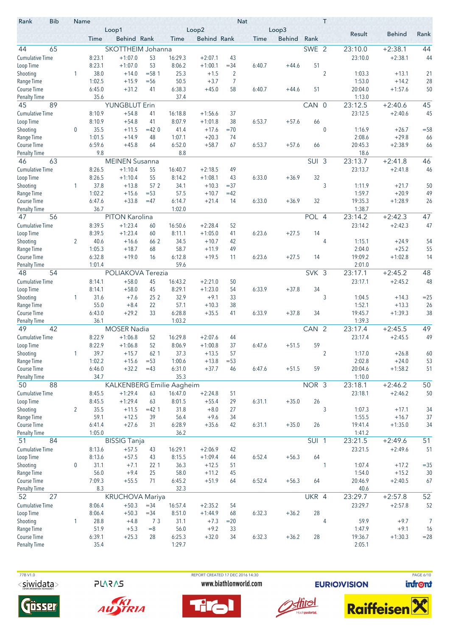| Rank                                | <b>Bib</b> | Name             |                  | Loop1                     |                 |                   | Loop2                  |                | <b>Nat</b>  | Loop3         |                  | T              |                  |                    |          |
|-------------------------------------|------------|------------------|------------------|---------------------------|-----------------|-------------------|------------------------|----------------|-------------|---------------|------------------|----------------|------------------|--------------------|----------|
|                                     |            |                  | Time             | Behind Rank               |                 | Time              | <b>Behind Rank</b>     |                | <b>Time</b> | <b>Behind</b> | Rank             |                | Result           | <b>Behind</b>      | Rank     |
| 44                                  | 65         |                  |                  | SKOTTHEIM Johanna         |                 |                   |                        |                |             |               | SWE 2            |                | 23:10.0          | $+2:38.1$          | 44       |
| <b>Cumulative Time</b>              |            |                  | 8:23.1           | $+1:07.0$                 | 53              | 16:29.3           | $+2:07.1$              | 43             |             |               |                  |                | 23:10.0          | $+2:38.1$          | 44       |
| Loop Time                           |            |                  | 8:23.1           | $+1:07.0$                 | 53              | 8:06.2            | $+1:00.1$              | $= 34$         | 6:40.7      | $+44.6$       | 51               |                |                  |                    |          |
| Shooting                            |            | 1                | 38.0             | $+14.0$                   | $= 58.1$        | 25.3              | $+1.5$                 | $\overline{2}$ |             |               |                  | $\overline{2}$ | 1:03.3           | $+13.1$            | 21       |
| Range Time                          |            |                  | 1:02.5           | $+15.9$                   | $=$ 56          | 50.5              | $+3.7$                 | $\overline{7}$ |             |               |                  |                | 1:53.0           | $+14.2$            | 28       |
| <b>Course Time</b>                  |            |                  | 6:45.0           | $+31.2$                   | 41              | 6:38.3            | $+45.0$                | 58             | 6:40.7      | $+44.6$       | 51               |                | 20:04.0          | $+1:57.6$          | 50       |
| <b>Penalty Time</b>                 |            |                  | 35.6             |                           |                 | 37.4              |                        |                |             |               | $CAN$ $0$        |                | 1:13.0           |                    |          |
| 45                                  | 89         |                  |                  | <b>YUNGBLUT Erin</b>      |                 |                   |                        |                |             |               |                  |                | 23:12.5          | $+2:40.6$          | 45       |
| <b>Cumulative Time</b><br>Loop Time |            |                  | 8:10.9<br>8:10.9 | $+54.8$<br>$+54.8$        | 41<br>41        | 16:18.8<br>8:07.9 | $+1:56.6$<br>$+1:01.8$ | 37<br>38       | 6:53.7      | $+57.6$       | 66               |                | 23:12.5          | $+2:40.6$          | 45       |
| Shooting                            |            | 0                | 35.5             | $+11.5$                   | $=420$          | 41.4              | $+17.6$                | $=70$          |             |               |                  | $\mathbf{0}$   | 1:16.9           | $+26.7$            | $= 58$   |
| Range Time                          |            |                  | 1:01.5           | $+14.9$                   | 48              | 1:07.1            | $+20.3$                | 74             |             |               |                  |                | 2:08.6           | $+29.8$            | 66       |
| <b>Course Time</b>                  |            |                  | 6:59.6           | $+45.8$                   | 64              | 6:52.0            | $+58.7$                | 67             | 6:53.7      | $+57.6$       | 66               |                | 20:45.3          | $+2:38.9$          | 66       |
| Penalty Time                        |            |                  | 9.8              |                           |                 | 8.8               |                        |                |             |               |                  |                | 18.6             |                    |          |
| 46                                  | 63         |                  |                  | <b>MEINEN Susanna</b>     |                 |                   |                        |                |             |               | SUI 3            |                | 23:13.7          | $+2:41.8$          | 46       |
| <b>Cumulative Time</b>              |            |                  | 8:26.5           | $+1:10.4$                 | 55              | 16:40.7           | $+2:18.5$              | 49             |             |               |                  |                | 23:13.7          | $+2:41.8$          | 46       |
| Loop Time                           |            |                  | 8:26.5           | $+1:10.4$                 | 55              | 8:14.2            | $+1:08.1$              | 43             | 6:33.0      | $+36.9$       | 32               |                |                  |                    |          |
| Shooting                            |            | 1                | 37.8             | $+13.8$                   | 57 <sub>2</sub> | 34.1              | $+10.3$                | $= 37$         |             |               |                  | 3              | 1:11.9           | $+21.7$            | 50       |
| Range Time                          |            |                  | 1:02.2           | $+15.6$                   | $= 53$          | 57.5              | $+10.7$                | $=42$          |             |               |                  |                | 1:59.7           | $+20.9$            | 49       |
| <b>Course Time</b>                  |            |                  | 6:47.6           | $+33.8$                   | $=47$           | 6:14.7            | $+21.4$                | 14             | 6:33.0      | $+36.9$       | 32               |                | 19:35.3          | $+1:28.9$          | 26       |
| <b>Penalty Time</b>                 |            |                  | 36.7             |                           |                 | 1:02.0            |                        |                |             |               |                  |                | 1:38.7           |                    |          |
| 47                                  | 56         |                  |                  | PITON Karolina            |                 |                   |                        |                |             |               | POL 4            |                | 23:14.2          | $+2:42.3$          | 47       |
| <b>Cumulative Time</b>              |            |                  | 8:39.5           | $+1:23.4$                 | 60              | 16:50.6           | $+2:28.4$              | 52             |             |               |                  |                | 23:14.2          | $+2:42.3$          | 47       |
| Loop Time                           |            |                  | 8:39.5<br>40.6   | $+1:23.4$                 | 60              | 8:11.1            | $+1:05.0$              | 41             | 6:23.6      | $+27.5$       | 14               |                |                  |                    |          |
| Shooting<br>Range Time              |            | 2                | 1:05.3           | $+16.6$<br>$+18.7$        | 66 2<br>68      | 34.5<br>58.7      | $+10.7$<br>$+11.9$     | 42<br>49       |             |               |                  | 4              | 1:15.1<br>2:04.0 | $+24.9$<br>$+25.2$ | 54<br>55 |
| Course Time                         |            |                  | 6:32.8           | $+19.0$                   | 16              | 6:12.8            | $+19.5$                | 11             | 6:23.6      | $+27.5$       | 14               |                | 19:09.2          | $+1:02.8$          | 14       |
| <b>Penalty Time</b>                 |            |                  | 1:01.4           |                           |                 | 59.6              |                        |                |             |               |                  |                | 2:01.0           |                    |          |
| 48                                  | 54         |                  |                  | POLIAKOVA Terezia         |                 |                   |                        |                |             |               | SVK 3            |                | 23:17.1          | $+2:45.2$          | 48       |
| <b>Cumulative Time</b>              |            |                  | 8:14.1           | $+58.0$                   | 45              | 16:43.2           | $+2:21.0$              | 50             |             |               |                  |                | 23:17.1          | $+2:45.2$          | 48       |
| Loop Time                           |            |                  | 8:14.1           | $+58.0$                   | 45              | 8:29.1            | $+1:23.0$              | 54             | 6:33.9      | $+37.8$       | 34               |                |                  |                    |          |
| Shooting                            |            | 1                | 31.6             | $+7.6$                    | 25 2            | 32.9              | $+9.1$                 | 33             |             |               |                  | 3              | 1:04.5           | $+14.3$            | $=25$    |
| Range Time                          |            |                  | 55.0             | $+8.4$                    | 22              | 57.1              | $+10.3$                | 38             |             |               |                  |                | 1:52.1           | $+13.3$            | 26       |
| Course Time                         |            |                  | 6:43.0           | $+29.2$                   | 33              | 6:28.8            | $+35.5$                | 41             | 6:33.9      | $+37.8$       | 34               |                | 19:45.7          | $+1:39.3$          | 38       |
| <b>Penalty Time</b>                 |            |                  | 36.1             |                           |                 | 1:03.2            |                        |                |             |               |                  |                | 1:39.3           |                    |          |
| 49                                  | 42         |                  |                  | <b>MOSER Nadia</b>        |                 |                   |                        |                |             |               | CAN 2            |                | 23:17.4          | $+2:45.5$          | 49       |
| <b>Cumulative Time</b>              |            |                  | 8:22.9           | $+1:06.8$                 | 52              | 16:29.8           | $+2:07.6$              | 44             |             |               |                  |                | 23:17.4          | $+2:45.5$          | 49       |
| Loop Time                           |            |                  | 8:22.9           | $+1:06.8$                 | 52              | 8:06.9            | $+1:00.8$              | 37             | 6:47.6      | $+51.5$       | 59               |                |                  |                    |          |
| Shooting<br>Range Time              |            |                  | 39.7<br>1:02.2   | $+15.7$<br>$+15.6$        | 62 1<br>$= 53$  | 37.3<br>1:00.6    | $+13.5$<br>$+13.8$     | 57<br>$= 53$   |             |               |                  | 2              | 1:17.0<br>2:02.8 | $+26.8$<br>$+24.0$ | 60<br>53 |
| Course Time                         |            |                  | 6:46.0           | $+32.2$                   | $=43$           | 6:31.0            | $+37.7$                | 46             | 6:47.6      | $+51.5$       | 59               |                | 20:04.6          | $+1:58.2$          | 51       |
| <b>Penalty Time</b>                 |            |                  | 34.7             |                           |                 | 35.3              |                        |                |             |               |                  |                | 1:10.0           |                    |          |
| 50                                  | 88         |                  |                  | KALKENBERG Emilie Aagheim |                 |                   |                        |                |             |               | NOR 3            |                | 23:18.1          | $+2:46.2$          | 50       |
| <b>Cumulative Time</b>              |            |                  | 8:45.5           | $+1:29.4$                 | 63              | 16:47.0           | $+2:24.8$              | 51             |             |               |                  |                | 23:18.1          | $+2:46.2$          | 50       |
| Loop Time                           |            |                  | 8:45.5           | $+1:29.4$                 | 63              | 8:01.5            | $+55.4$                | 29             | 6:31.1      | $+35.0$       | 26               |                |                  |                    |          |
| Shooting                            |            | $\overline{2}$   | 35.5             | $+11.5$                   | $=421$          | 31.8              | $+8.0$                 | 27             |             |               |                  | 3              | 1:07.3           | $+17.1$            | 34       |
| Range Time                          |            |                  | 59.1             | $+12.5$                   | 39              | 56.4              | $+9.6$                 | 34             |             |               |                  |                | 1:55.5           | $+16.7$            | 37       |
| Course Time                         |            |                  | 6:41.4           | $+27.6$                   | 31              | 6:28.9            | $+35.6$                | 42             | 6:31.1      | $+35.0$       | 26               |                | 19:41.4          | $+1:35.0$          | 34       |
| <b>Penalty Time</b>                 |            |                  | 1:05.0           |                           |                 | 36.2              |                        |                |             |               |                  |                | 1:41.2           |                    |          |
| 51                                  | 84         |                  |                  | <b>BISSIG Tanja</b>       |                 |                   |                        |                |             |               | SUI <sub>1</sub> |                | 23:21.5          | $+2:49.6$          | 51       |
| <b>Cumulative Time</b>              |            |                  | 8:13.6           | $+57.5$                   | 43              | 16:29.1           | $+2:06.9$              | 42             |             |               |                  |                | 23:21.5          | $+2:49.6$          | 51       |
| Loop Time<br>Shooting               |            | $\boldsymbol{0}$ | 8:13.6<br>31.1   | $+57.5$<br>$+7.1$         | 43<br>22 1      | 8:15.5<br>36.3    | $+1:09.4$<br>$+12.5$   | 44<br>51       | 6:52.4      | $+56.3$       | 64               | 1              | 1:07.4           | $+17.2$            | $= 35$   |
| Range Time                          |            |                  | 56.0             | $+9.4$                    | 25              | 58.0              | $+11.2$                | 45             |             |               |                  |                | 1:54.0           | $+15.2$            | 30       |
| Course Time                         |            |                  | 7:09.3           | $+55.5$                   | 71              | 6:45.2            | $+51.9$                | 64             | 6:52.4      | $+56.3$       | 64               |                | 20:46.9          | $+2:40.5$          | 67       |
| <b>Penalty Time</b>                 |            |                  | 8.3              |                           |                 | 32.3              |                        |                |             |               |                  |                | 40.6             |                    |          |
| 52                                  | 27         |                  |                  | <b>KRUCHOVA Mariya</b>    |                 |                   |                        |                |             |               | UKR 4            |                | 23:29.7          | $+2:57.8$          | 52       |
| <b>Cumulative Time</b>              |            |                  | 8:06.4           | $+50.3$                   | $= 34$          | 16:57.4           | $+2:35.2$              | 54             |             |               |                  |                | 23:29.7          | $+2:57.8$          | 52       |
| Loop Time                           |            |                  | 8:06.4           | $+50.3$                   | $= 34$          | 8:51.0            | $+1:44.9$              | 68             | 6:32.3      | $+36.2$       | 28               |                |                  |                    |          |
| Shooting                            |            | 1                | 28.8             | $+4.8$                    | 73              | 31.1              | $+7.3$                 | $= 20$         |             |               |                  | 4              | 59.9             | $+9.7$             | 7        |
| Range Time                          |            |                  | 51.9             | $+5.3$                    | $=8$            | 56.0              | $+9.2$                 | 33             |             |               |                  |                | 1:47.9           | $+9.1$             | 16       |
| Course Time                         |            |                  | 6:39.1           | $+25.3$                   | 28              | 6:25.3            | $+32.0$                | 34             | 6:32.3      | $+36.2$       | 28               |                | 19:36.7          | $+1:30.3$          | $= 28$   |
| <b>Penalty Time</b>                 |            |                  | 35.4             |                           |                 | 1:29.7            |                        |                |             |               |                  |                | 2:05.1           |                    |          |

**PLARAS** 



AUSTRIA

 77B V1.0 REPORT CREATED 17 DEC 2016 14:30 PAGE 6/10www.biathlonworld.com





**EURIOVISION** 

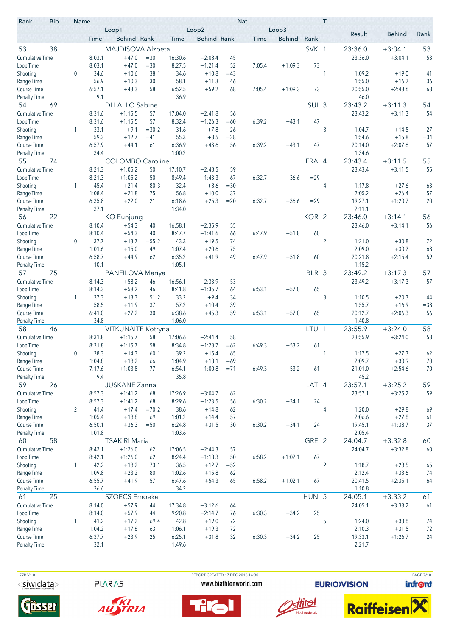| Rank                      | <b>Bib</b> | Name             |                  | Loop1                   |               |                  | Loop2                |             | <b>Nat</b> | Loop3         |                  | T              |                   |                      |                 |
|---------------------------|------------|------------------|------------------|-------------------------|---------------|------------------|----------------------|-------------|------------|---------------|------------------|----------------|-------------------|----------------------|-----------------|
|                           |            |                  | Time             | Behind Rank             |               | Time             | <b>Behind Rank</b>   |             | Time       | <b>Behind</b> | Rank             |                | Result            | <b>Behind</b>        | Rank            |
| 53                        | 38         |                  |                  | MAJDISOVA Alzbeta       |               |                  |                      |             |            |               | SVK 1            |                | 23:36.0           | $+3:04.1$            | 53              |
| <b>Cumulative Time</b>    |            |                  | 8:03.1           | $+47.0$                 | $= 30$        | 16:30.6          | $+2:08.4$            | 45          |            |               |                  |                | 23:36.0           | $+3:04.1$            | 53              |
| Loop Time                 |            |                  | 8:03.1           | $+47.0$                 | $= 30$        | 8:27.5           | $+1:21.4$            | 52          | 7:05.4     | $+1:09.3$     | 73               |                |                   |                      |                 |
| Shooting                  |            | 0                | 34.6             | $+10.6$                 | 38 1          | 34.6             | $+10.8$              | $=43$       |            |               |                  | 1              | 1:09.2            | $+19.0$              | 41              |
| Range Time                |            |                  | 56.9             | $+10.3$                 | 30            | 58.1             | $+11.3$              | 46          |            |               |                  |                | 1:55.0            | $+16.2$              | 36              |
| <b>Course Time</b>        |            |                  | 6:57.1           | $+43.3$                 | 58            | 6:52.5           | $+59.2$              | 68          | 7:05.4     | $+1:09.3$     | 73               |                | 20:55.0           | $+2:48.6$            | 68              |
| <b>Penalty Time</b>       |            |                  | 9.1              |                         |               | 36.9             |                      |             |            |               |                  |                | 46.0              |                      |                 |
| 54                        | 69         |                  |                  | DI LALLO Sabine         |               |                  |                      |             |            |               | SUI 3            |                | 23:43.2           | $+3:11.3$            | 54              |
| <b>Cumulative Time</b>    |            |                  | 8:31.6           | $+1:15.5$               | 57            | 17:04.0          | $+2:41.8$            | 56          |            |               |                  |                | 23:43.2           | $+3:11.3$            | 54              |
| Loop Time<br>Shooting     |            | 1                | 8:31.6<br>33.1   | $+1:15.5$<br>$+9.1$     | 57<br>$=30.2$ | 8:32.4<br>31.6   | $+1:26.3$<br>$+7.8$  | $=60$<br>26 | 6:39.2     | $+43.1$       | 47               | 3              | 1:04.7            |                      | 27              |
| Range Time                |            |                  | 59.3             | $+12.7$                 | $=41$         | 55.3             | $+8.5$               | $= 28$      |            |               |                  |                | 1:54.6            | $+14.5$<br>$+15.8$   | $= 34$          |
| <b>Course Time</b>        |            |                  | 6:57.9           | $+44.1$                 | 61            | 6:36.9           | $+43.6$              | 56          | 6:39.2     | $+43.1$       | 47               |                | 20:14.0           | $+2:07.6$            | 57              |
| <b>Penalty Time</b>       |            |                  | 34.4             |                         |               | 1:00.2           |                      |             |            |               |                  |                | 1:34.6            |                      |                 |
| 55                        | 74         |                  |                  | <b>COLOMBO Caroline</b> |               |                  |                      |             |            |               | FRA 4            |                | 23:43.4           | $+3:11.5$            | 55              |
| <b>Cumulative Time</b>    |            |                  | 8:21.3           | $+1:05.2$               | 50            | 17:10.7          | $+2:48.5$            | 59          |            |               |                  |                | 23:43.4           | $+3:11.5$            | 55              |
| Loop Time                 |            |                  | 8:21.3           | $+1:05.2$               | 50            | 8:49.4           | $+1:43.3$            | 67          | 6:32.7     | $+36.6$       | $= 29$           |                |                   |                      |                 |
| Shooting                  |            | 1                | 45.4             | $+21.4$                 | 80 3          | 32.4             | $+8.6$               | $= 30$      |            |               |                  | 4              | 1:17.8            | $+27.6$              | 63              |
| Range Time                |            |                  | 1:08.4           | $+21.8$                 | 75            | 56.8             | $+10.0$              | 37          |            |               |                  |                | 2:05.2            | $+26.4$              | 57              |
| <b>Course Time</b>        |            |                  | 6:35.8           | $+22.0$                 | 21            | 6:18.6           | $+25.3$              | $= 20$      | 6:32.7     | $+36.6$       | $= 29$           |                | 19:27.1           | $+1:20.7$            | 20              |
| <b>Penalty Time</b>       |            |                  | 37.1             |                         |               | 1:34.0           |                      |             |            |               |                  |                | 2:11.1            |                      |                 |
| 56                        | 22         |                  |                  | <b>KO</b> Eunjung       |               |                  |                      |             |            |               | KOR <sub>2</sub> |                | 23:46.0           | $+3:14.1$            | 56              |
| <b>Cumulative Time</b>    |            |                  | 8:10.4<br>8:10.4 | $+54.3$                 | 40<br>40      | 16:58.1          | $+2:35.9$            | 55          |            |               |                  |                | 23:46.0           | $+3:14.1$            | 56              |
| Loop Time<br>Shooting     |            | $\boldsymbol{0}$ | 37.7             | $+54.3$<br>$+13.7$      | $= 552$       | 8:47.7<br>43.3   | $+1:41.6$<br>$+19.5$ | 66<br>74    | 6:47.9     | $+51.8$       | 60               | $\overline{2}$ | 1:21.0            | $+30.8$              | 72              |
| Range Time                |            |                  | 1:01.6           | $+15.0$                 | 49            | 1:07.4           | $+20.6$              | 75          |            |               |                  |                | 2:09.0            | $+30.2$              | 68              |
| <b>Course Time</b>        |            |                  | 6:58.7           | $+44.9$                 | 62            | 6:35.2           | $+41.9$              | 49          | 6:47.9     | $+51.8$       | 60               |                | 20:21.8           | $+2:15.4$            | 59              |
| <b>Penalty Time</b>       |            |                  | 10.1             |                         |               | 1:05.1           |                      |             |            |               |                  |                | 1:15.2            |                      |                 |
| 57                        | 75         |                  |                  | PANFILOVA Mariya        |               |                  |                      |             |            |               | BLR 3            |                | 23:49.2           | $+3:17.3$            | $\overline{57}$ |
| <b>Cumulative Time</b>    |            |                  | 8:14.3           | $+58.2$                 | 46            | 16:56.1          | $+2:33.9$            | 53          |            |               |                  |                | 23:49.2           | $+3:17.3$            | 57              |
| Loop Time                 |            |                  | 8:14.3           | $+58.2$                 | 46            | 8:41.8           | $+1:35.7$            | 64          | 6:53.1     | $+57.0$       | 65               |                |                   |                      |                 |
| Shooting                  |            | 1                | 37.3             | $+13.3$                 | 51 2          | 33.2             | $+9.4$               | 34          |            |               |                  | 3              | 1:10.5            | $+20.3$              | 44              |
| Range Time                |            |                  | 58.5             | $+11.9$                 | 37            | 57.2             | $+10.4$              | 39          |            |               |                  |                | 1:55.7            | $+16.9$              | $= 38$          |
| <b>Course Time</b>        |            |                  | 6:41.0           | $+27.2$                 | 30            | 6:38.6           | $+45.3$              | 59          | 6:53.1     | $+57.0$       | 65               |                | 20:12.7           | $+2:06.3$            | 56              |
| <b>Penalty Time</b><br>58 | 46         |                  | 34.8             | VITKUNAITE Kotryna      |               | 1:06.0           |                      |             |            |               | LTU <sub>1</sub> |                | 1:40.8<br>23:55.9 | $+3:24.0$            | 58              |
| <b>Cumulative Time</b>    |            |                  | 8:31.8           | $+1:15.7$               | 58            | 17:06.6          | $+2:44.4$            | 58          |            |               |                  |                | 23:55.9           | $+3:24.0$            | 58              |
| Loop Time                 |            |                  | 8:31.8           | $+1:15.7$               | 58            | 8:34.8           | $+1:28.7$            | $=62$       | 6:49.3     | $+53.2$       | 61               |                |                   |                      |                 |
| Shooting                  |            | 0                | 38.3             | $+14.3$                 | 60 1          | 39.2             | $+15.4$              | 65          |            |               |                  | 1              | 1:17.5            | $+27.3$              | 62              |
| Range Time                |            |                  | 1:04.8           | $+18.2$                 | 66            | 1:04.9           | $+18.1$              | $=69$       |            |               |                  |                | 2:09.7            | $+30.9$              | 70              |
| Course Time               |            |                  | 7:17.6           | $+1:03.8$               | 77            | 6:54.1           | $+1:00.8$            | $= 71$      | 6:49.3     | $+53.2$       | 61               |                | 21:01.0           | $+2:54.6$            | 70              |
| <b>Penalty Time</b>       |            |                  | 9.4              |                         |               | 35.8             |                      |             |            |               |                  |                | 45.2              |                      |                 |
| 59                        | 26         |                  |                  | <b>JUSKANE Zanna</b>    |               |                  |                      |             |            |               | LAT 4            |                | 23:57.1           | $+3:25.2$            | 59              |
| <b>Cumulative Time</b>    |            |                  | 8:57.3           | $+1:41.2$               | 68            | 17:26.9          | $+3:04.7$            | 62          |            |               |                  |                | 23:57.1           | $+3:25.2$            | 59              |
| Loop Time                 |            |                  | 8:57.3           | $+1:41.2$               | 68            | 8:29.6           | $+1:23.5$            | 56          | 6:30.2     | $+34.1$       | 24               |                |                   |                      |                 |
| Shooting                  |            | $\overline{2}$   | 41.4             | $+17.4$                 | $=70.2$       | 38.6             | $+14.8$              | 62          |            |               |                  | 4              | 1:20.0            | $+29.8$              | 69              |
| Range Time<br>Course Time |            |                  | 1:05.4<br>6:50.1 | $+18.8$<br>$+36.3$      | 69<br>$=50$   | 1:01.2<br>6:24.8 | $+14.4$<br>$+31.5$   | 57<br>30    | 6:30.2     | $+34.1$       | 24               |                | 2:06.6<br>19:45.1 | $+27.8$<br>$+1:38.7$ | 61<br>37        |
| <b>Penalty Time</b>       |            |                  | 1:01.8           |                         |               | 1:03.6           |                      |             |            |               |                  |                | 2:05.4            |                      |                 |
| 60                        | 58         |                  |                  | <b>TSAKIRI Maria</b>    |               |                  |                      |             |            |               | GRE 2            |                | 24:04.7           | $+3:32.8$            | 60              |
| <b>Cumulative Time</b>    |            |                  | 8:42.1           | $+1:26.0$               | 62            | 17:06.5          | $+2:44.3$            | 57          |            |               |                  |                | 24:04.7           | $+3:32.8$            | 60              |
| Loop Time                 |            |                  | 8:42.1           | $+1:26.0$               | 62            | 8:24.4           | $+1:18.3$            | 50          | 6:58.2     | $+1:02.1$     | 67               |                |                   |                      |                 |
| Shooting                  |            | $\mathbf{1}$     | 42.2             | $+18.2$                 | 73 1          | 36.5             | $+12.7$              | $= 52$      |            |               |                  | $\overline{2}$ | 1:18.7            | $+28.5$              | 65              |
| Range Time                |            |                  | 1:09.8           | $+23.2$                 | 80            | 1:02.6           | $+15.8$              | 62          |            |               |                  |                | 2:12.4            | $+33.6$              | 74              |
| Course Time               |            |                  | 6:55.7           | $+41.9$                 | 57            | 6:47.6           | $+54.3$              | 65          | 6:58.2     | $+1:02.1$     | 67               |                | 20:41.5           | $+2:35.1$            | 64              |
| <b>Penalty Time</b>       |            |                  | 36.6             |                         |               | 34.2             |                      |             |            |               |                  |                | 1:10.8            |                      |                 |
| 61                        | 25         |                  |                  | <b>SZOECS Emoeke</b>    |               |                  |                      |             |            |               | HUN 5            |                | 24:05.1           | $+3:33.2$            | 61              |
| <b>Cumulative Time</b>    |            |                  | 8:14.0           | $+57.9$                 | 44            | 17:34.8          | $+3:12.6$            | 64          |            |               |                  |                | 24:05.1           | $+3:33.2$            | 61              |
| Loop Time                 |            |                  | 8:14.0           | $+57.9$                 | 44            | 9:20.8           | $+2:14.7$            | 76          | 6:30.3     | $+34.2$       | 25               |                |                   |                      |                 |
| Shooting<br>Range Time    |            | 1                | 41.2<br>1:04.2   | $+17.2$<br>$+17.6$      | 694<br>63     | 42.8<br>1:06.1   | $+19.0$<br>$+19.3$   | 72<br>72    |            |               |                  | 5              | 1:24.0<br>2:10.3  | $+33.8$<br>$+31.5$   | 74<br>72        |
| Course Time               |            |                  | 6:37.7           | $+23.9$                 | 25            | 6:25.1           | $+31.8$              | 32          | 6:30.3     | $+34.2$       | 25               |                | 19:33.1           | $+1:26.7$            | 24              |
| <b>Penalty Time</b>       |            |                  | 32.1             |                         |               | 1:49.6           |                      |             |            |               |                  |                | 2:21.7            |                      |                 |
|                           |            |                  |                  |                         |               |                  |                      |             |            |               |                  |                |                   |                      |                 |

**PLARAS** 





 77B V1.0 REPORT CREATED 17 DEC 2016 14:30 PAGE 7/10www.biathlonworld.com





**EURIOVISION** 

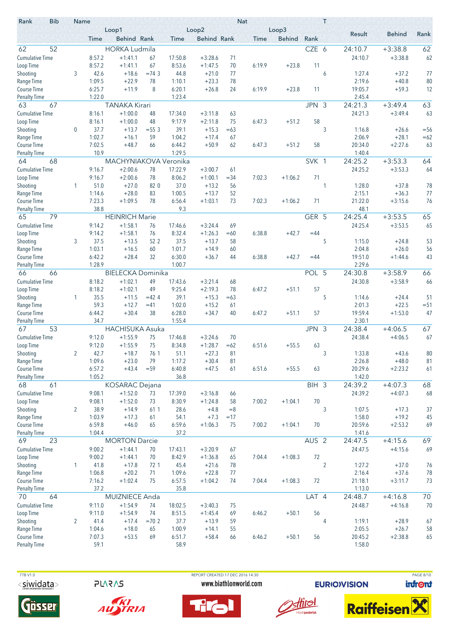| Rank                                      | <b>Bib</b> | Name           |                  | Loop1                    |            |                   | Loop2                  |               | Nat    | Loop3         |                  | T              |                   |                    |          |
|-------------------------------------------|------------|----------------|------------------|--------------------------|------------|-------------------|------------------------|---------------|--------|---------------|------------------|----------------|-------------------|--------------------|----------|
|                                           |            |                | Time             | Behind Rank              |            | Time              | <b>Behind Rank</b>     |               | Time   | <b>Behind</b> | Rank             |                | Result            | <b>Behind</b>      | Rank     |
| 62                                        | 52         |                |                  | <b>HORKA Ludmila</b>     |            |                   |                        |               |        |               | CZE 6            |                | 24:10.7           | $+3:38.8$          | 62       |
| <b>Cumulative Time</b>                    |            |                | 8:57.2           | $+1:41.1$                | 67         | 17:50.8           | $+3:28.6$              | 71            |        |               |                  |                | 24:10.7           | $+3:38.8$          | 62       |
| Loop Time                                 |            |                | 8:57.2           | $+1:41.1$                | 67         | 8:53.6            | $+1:47.5$              | 70            | 6:19.9 | $+23.8$       | 11               |                |                   |                    |          |
| Shooting                                  |            | 3              | 42.6             | $+18.6$                  | $=74.3$    | 44.8              | $+21.0$                | 77            |        |               |                  | 6              | 1:27.4            | $+37.2$            | 77       |
| Range Time                                |            |                | 1:09.5           | $+22.9$                  | 78         | 1:10.1            | $+23.3$                | 78            |        |               |                  |                | 2:19.6            | $+40.8$            | 80       |
| <b>Course Time</b>                        |            |                | 6:25.7<br>1:22.0 | $+11.9$                  | 8          | 6:20.1<br>1:23.4  | $+26.8$                | 24            | 6:19.9 | $+23.8$       | 11               |                | 19:05.7<br>2:45.4 | $+59.3$            | 12       |
| <b>Penalty Time</b><br>63                 | 67         |                |                  | <b>TANAKA Kirari</b>     |            |                   |                        |               |        |               | JPN 3            |                | 24:21.3           | $+3:49.4$          | 63       |
| <b>Cumulative Time</b>                    |            |                | 8:16.1           | $+1:00.0$                | 48         | 17:34.0           | $+3:11.8$              | 63            |        |               |                  |                | 24:21.3           | $+3:49.4$          | 63       |
| Loop Time                                 |            |                | 8:16.1           | $+1:00.0$                | 48         | 9:17.9            | $+2:11.8$              | 75            | 6:47.3 | $+51.2$       | 58               |                |                   |                    |          |
| Shooting                                  |            | 0              | 37.7             | $+13.7$                  | $= 553$    | 39.1              | $+15.3$                | $=63$         |        |               |                  | 3              | 1:16.8            | $+26.6$            | $=$ 56   |
| Range Time                                |            |                | 1:02.7           | $+16.1$                  | 59         | 1:04.2            | $+17.4$                | 67            |        |               |                  |                | 2:06.9            | $+28.1$            | $=62$    |
| <b>Course Time</b>                        |            |                | 7:02.5           | $+48.7$                  | 66         | 6:44.2            | $+50.9$                | 62            | 6:47.3 | $+51.2$       | 58               |                | 20:34.0           | $+2:27.6$          | 63       |
| <b>Penalty Time</b>                       |            |                | 10.9             |                          |            | 1:29.5            |                        |               |        |               |                  |                | 1:40.4            |                    |          |
| 64                                        | 68         |                |                  | MACHYNIAKOVA Veronika    |            |                   |                        |               |        |               | SVK 1            |                | 24:25.2           | $+3:53.3$          | 64       |
| <b>Cumulative Time</b>                    |            |                | 9:16.7           | $+2:00.6$                | 78         | 17:22.9           | $+3:00.7$              | 61            |        |               |                  |                | 24:25.2           | $+3:53.3$          | 64       |
| Loop Time                                 |            | 1              | 9:16.7<br>51.0   | $+2:00.6$<br>$+27.0$     | 78<br>82 0 | 8:06.2<br>37.0    | $+1:00.1$<br>$+13.2$   | $= 34$<br>56  | 7:02.3 | $+1:06.2$     | 71               | 1              | 1:28.0            | $+37.8$            | 78       |
| Shooting<br>Range Time                    |            |                | 1:14.6           | $+28.0$                  | 83         | 1:00.5            | $+13.7$                | 52            |        |               |                  |                | 2:15.1            | $+36.3$            | 77       |
| <b>Course Time</b>                        |            |                | 7:23.3           | $+1:09.5$                | 78         | 6:56.4            | $+1:03.1$              | 73            | 7:02.3 | $+1:06.2$     | 71               |                | 21:22.0           | $+3:15.6$          | 76       |
| <b>Penalty Time</b>                       |            |                | 38.8             |                          |            | 9.3               |                        |               |        |               |                  |                | 48.1              |                    |          |
| 65                                        | 79         |                |                  | <b>HEINRICH Marie</b>    |            |                   |                        |               |        |               | GER 5            |                | 24:25.4           | $+3:53.5$          | 65       |
| <b>Cumulative Time</b>                    |            |                | 9:14.2           | $+1:58.1$                | 76         | 17:46.6           | $+3:24.4$              | 69            |        |               |                  |                | 24:25.4           | $+3:53.5$          | 65       |
| Loop Time                                 |            |                | 9:14.2           | $+1:58.1$                | 76         | 8:32.4            | $+1:26.3$              | $=60$         | 6:38.8 | $+42.7$       | $=44$            |                |                   |                    |          |
| Shooting                                  |            | 3              | 37.5             | $+13.5$                  | 52 2       | 37.5              | $+13.7$                | 58            |        |               |                  | 5              | 1:15.0            | $+24.8$            | 53       |
| Range Time                                |            |                | 1:03.1           | $+16.5$                  | 60         | 1:01.7            | $+14.9$                | 60            |        |               |                  |                | 2:04.8            | $+26.0$            | 56       |
| <b>Course Time</b><br><b>Penalty Time</b> |            |                | 6:42.2<br>1:28.9 | $+28.4$                  | 32         | 6:30.0<br>1:00.7  | $+36.7$                | 44            | 6:38.8 | $+42.7$       | $=44$            |                | 19:51.0<br>2:29.6 | $+1:44.6$          | 43       |
| 66                                        | 66         |                |                  | <b>BIELECKA Dominika</b> |            |                   |                        |               |        |               | POL 5            |                | 24:30.8           | $+3:58.9$          | 66       |
| <b>Cumulative Time</b>                    |            |                | 8:18.2           | $+1:02.1$                | 49         | 17:43.6           | $+3:21.4$              | 68            |        |               |                  |                | 24:30.8           | $+3:58.9$          | 66       |
| Loop Time                                 |            |                | 8:18.2           | $+1:02.1$                | 49         | 9:25.4            | $+2:19.3$              | 78            | 6:47.2 | $+51.1$       | 57               |                |                   |                    |          |
| Shooting                                  |            | $\mathbf{1}$   | 35.5             | $+11.5$                  | $=42.4$    | 39.1              | $+15.3$                | $=63$         |        |               |                  | 5              | 1:14.6            | $+24.4$            | 51       |
| Range Time                                |            |                | 59.3             | $+12.7$                  | $=41$      | 1:02.0            | $+15.2$                | 61            |        |               |                  |                | 2:01.3            | $+22.5$            | $= 51$   |
| <b>Course Time</b>                        |            |                | 6:44.2           | $+30.4$                  | 38         | 6:28.0            | $+34.7$                | 40            | 6:47.2 | $+51.1$       | 57               |                | 19:59.4           | $+1:53.0$          | 47       |
| <b>Penalty Time</b>                       |            |                | 34.7             |                          |            | 1:55.4            |                        |               |        |               |                  |                | 2:30.1            |                    |          |
| 67                                        | 53         |                |                  | <b>HACHISUKA Asuka</b>   |            |                   |                        |               |        |               | JPN 3            |                | 24:38.4           | $+4:06.5$          | 67       |
| <b>Cumulative Time</b><br>Loop Time       |            |                | 9:12.0<br>9:12.0 | $+1:55.9$<br>$+1:55.9$   | 75<br>75   | 17:46.8<br>8:34.8 | $+3:24.6$<br>$+1:28.7$ | 70<br>$=62$   | 6:51.6 | $+55.5$       | 63               |                | 24:38.4           | $+4:06.5$          | 67       |
| Shooting                                  |            | 2              | 42.7             | $+18.7$                  | 76 1       | 51.1              | $+27.3$                | 81            |        |               |                  | 3              | 1:33.8            | $+43.6$            | 80       |
| Range Time                                |            |                | 1:09.6           | $+23.0$                  | 79         | 1:17.2            | $+30.4$                | 81            |        |               |                  |                | 2:26.8            | $+48.0$            | 81       |
| Course Time                               |            |                | 6:57.2           | $+43.4$                  | $= 59$     | 6:40.8            | $+47.5$                | 61            | 6:51.6 | $+55.5$       | 63               |                | 20:29.6           | $+2:23.2$          | 61       |
| <b>Penalty Time</b>                       |            |                | 1:05.2           |                          |            | 36.8              |                        |               |        |               |                  |                | 1:42.0            |                    |          |
| 68                                        | 61         |                |                  | <b>KOSARAC</b> Dejana    |            |                   |                        |               |        |               | BIH 3            |                | 24:39.2           | $+4:07.3$          | 68       |
| <b>Cumulative Time</b>                    |            |                | 9:08.1           | $+1:52.0$                | 73         | 17:39.0           | $+3:16.8$              | 66            |        |               |                  |                | 24:39.2           | $+4:07.3$          | 68       |
| Loop Time                                 |            |                | 9:08.1           | $+1:52.0$                | 73         | 8:30.9            | $+1:24.8$              | 58            | 7:00.2 | $+1:04.1$     | $70$             |                |                   |                    |          |
| Shooting<br>Range Time                    |            | $\overline{2}$ | 38.9<br>1:03.9   | $+14.9$<br>$+17.3$       | 61 1<br>61 | 28.6<br>54.1      | $+4.8$<br>$+7.3$       | $=8$<br>$=17$ |        |               |                  | 3              | 1:07.5<br>1:58.0  | $+17.3$<br>$+19.2$ | 37<br>45 |
| Course Time                               |            |                | 6:59.8           | $+46.0$                  | 65         | 6:59.6            | $+1:06.3$              | 75            | 7:00.2 | $+1:04.1$     | 70               |                | 20:59.6           | $+2:53.2$          | 69       |
| <b>Penalty Time</b>                       |            |                | 1:04.4           |                          |            | 37.2              |                        |               |        |               |                  |                | 1:41.6            |                    |          |
| 69                                        | 23         |                |                  | <b>MORTON Darcie</b>     |            |                   |                        |               |        |               | AUS <sub>2</sub> |                | 24:47.5           | $+4:15.6$          | 69       |
| <b>Cumulative Time</b>                    |            |                | 9:00.2           | $+1:44.1$                | 70         | 17:43.1           | $+3:20.9$              | 67            |        |               |                  |                | 24:47.5           | $+4:15.6$          | 69       |
| Loop Time                                 |            |                | 9:00.2           | $+1:44.1$                | 70         | 8:42.9            | $+1:36.8$              | 65            | 7:04.4 | $+1:08.3$     | 72               |                |                   |                    |          |
| Shooting                                  |            | 1              | 41.8             | $+17.8$                  | 72 1       | 45.4              | $+21.6$                | 78            |        |               |                  | $\overline{2}$ | 1:27.2            | $+37.0$            | 76       |
| Range Time                                |            |                | 1:06.8           | $+20.2$                  | 71         | 1:09.6            | $+22.8$                | 77            |        |               |                  |                | 2:16.4            | $+37.6$            | 78       |
| Course Time<br><b>Penalty Time</b>        |            |                | 7:16.2<br>37.2   | $+1:02.4$                | 75         | 6:57.5<br>35.8    | $+1:04.2$              | 74            | 7:04.4 | $+1:08.3$     | 72               |                | 21:18.1<br>1:13.0 | $+3:11.7$          | 73       |
| 70                                        | 64         |                |                  | MUIZNIECE Anda           |            |                   |                        |               |        |               | LAT 4            |                | 24:48.7           | $+4:16.8$          | 70       |
| <b>Cumulative Time</b>                    |            |                | 9:11.0           | $+1:54.9$                | 74         | 18:02.5           | $+3:40.3$              | 75            |        |               |                  |                | 24:48.7           | $+4:16.8$          | 70       |
| Loop Time                                 |            |                | 9:11.0           | $+1:54.9$                | 74         | 8:51.5            | $+1:45.4$              | 69            | 6:46.2 | $+50.1$       | 56               |                |                   |                    |          |
| Shooting                                  |            | 2              | 41.4             | $+17.4$                  | $=70.2$    | 37.7              | $+13.9$                | 59            |        |               |                  | 4              | 1:19.1            | $+28.9$            | 67       |
| Range Time                                |            |                | 1:04.6           | $+18.0$                  | 65         | 1:00.9            | $+14.1$                | 55            |        |               |                  |                | 2:05.5            | $+26.7$            | 58       |
| Course Time                               |            |                | 7:07.3           | $+53.5$                  | 69         | 6:51.7            | $+58.4$                | 66            | 6:46.2 | $+50.1$       | 56               |                | 20:45.2           | $+2:38.8$          | 65       |
| <b>Penalty Time</b>                       |            |                | 59.1             |                          |            | 58.9              |                        |               |        |               |                  |                | 1:58.0            |                    |          |

**PLARAS** 











**EURIOVISION** 

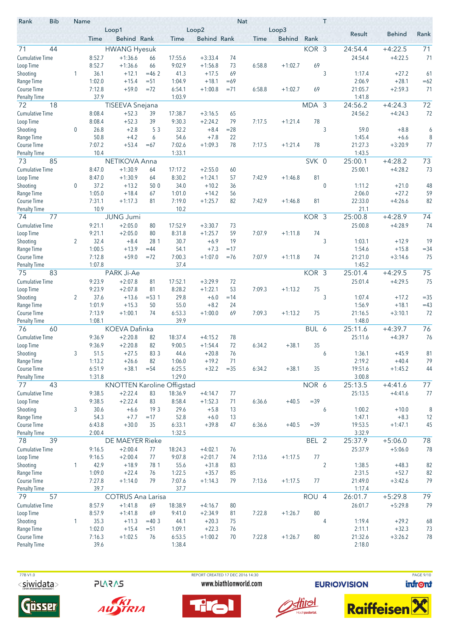| Rank                      | <b>Bib</b> | Name        |                  | Loop1                             |                |                  | Loop2                |             | <b>Nat</b> | Loop3         |        | T              |                   |                      |                |
|---------------------------|------------|-------------|------------------|-----------------------------------|----------------|------------------|----------------------|-------------|------------|---------------|--------|----------------|-------------------|----------------------|----------------|
|                           |            |             | Time             | Behind Rank                       |                | Time             | <b>Behind Rank</b>   |             | Time       | <b>Behind</b> | Rank   |                | Result            | <b>Behind</b>        | Rank           |
| 71                        | 44         |             |                  | <b>HWANG Hyesuk</b>               |                |                  |                      |             |            |               | KOR 3  |                | 24:54.4           | $+4:22.5$            | 71             |
| <b>Cumulative Time</b>    |            |             | 8:52.7           | $+1:36.6$                         | 66             | 17:55.6          | $+3:33.4$            | 74          |            |               |        |                | 24:54.4           | $+4:22.5$            | 71             |
| Loop Time                 |            |             | 8:52.7           | $+1:36.6$                         | 66             | 9:02.9           | $+1:56.8$            | 73          | 6:58.8     | $+1:02.7$     | 69     |                |                   |                      |                |
| Shooting                  |            | 1           | 36.1             | $+12.1$                           | $=462$         | 41.3             | $+17.5$              | 69          |            |               |        | 3              | 1:17.4            | $+27.2$              | 61             |
| Range Time                |            |             | 1:02.0           | $+15.4$                           | $= 51$         | 1:04.9           | $+18.1$              | $=69$       |            |               |        |                | 2:06.9            | $+28.1$              | $=62$          |
| <b>Course Time</b>        |            |             | 7:12.8<br>37.9   | $+59.0$                           | $= 72$         | 6:54.1<br>1:03.9 | $+1:00.8$            | $= 71$      | 6:58.8     | $+1:02.7$     | 69     |                | 21:05.7<br>1:41.8 | $+2:59.3$            | 71             |
| <b>Penalty Time</b><br>72 | 18         |             |                  | <b>TISEEVA Snejana</b>            |                |                  |                      |             |            |               | MDA 3  |                | 24:56.2           | $+4:24.3$            | 72             |
| <b>Cumulative Time</b>    |            |             | 8:08.4           | $+52.3$                           | 39             | 17:38.7          | $+3:16.5$            | 65          |            |               |        |                | 24:56.2           | $+4:24.3$            | 72             |
| Loop Time                 |            |             | 8:08.4           | $+52.3$                           | 39             | 9:30.3           | $+2:24.2$            | 79          | 7:17.5     | $+1:21.4$     | 78     |                |                   |                      |                |
| Shooting                  |            | 0           | 26.8             | $+2.8$                            | 53             | 32.2             | $+8.4$               | $= 28$      |            |               |        | 3              | 59.0              | $+8.8$               | 6              |
| Range Time                |            |             | 50.8             | $+4.2$                            | 6              | 54.6             | $+7.8$               | 22          |            |               |        |                | 1:45.4            | $+6.6$               | 8              |
| <b>Course Time</b>        |            |             | 7:07.2           | $+53.4$                           | $=67$          | 7:02.6           | $+1:09.3$            | 78          | 7:17.5     | $+1:21.4$     | 78     |                | 21:27.3           | $+3:20.9$            | 77             |
| <b>Penalty Time</b>       |            |             | 10.4             |                                   |                | 1:33.1           |                      |             |            |               |        |                | 1:43.5            |                      |                |
| 73                        | 85         |             |                  | NETIKOVA Anna                     |                |                  |                      |             |            |               | SVK 0  |                | 25:00.1           | $+4:28.2$            | 73             |
| <b>Cumulative Time</b>    |            |             | 8:47.0           | $+1:30.9$                         | 64             | 17:17.2          | $+2:55.0$            | 60          |            |               |        |                | 25:00.1           | $+4:28.2$            | 73             |
| Loop Time                 |            |             | 8:47.0           | $+1:30.9$                         | 64             | 8:30.2           | $+1:24.1$            | 57          | 7:42.9     | $+1:46.8$     | 81     |                |                   |                      |                |
| Shooting                  |            | $\mathbf 0$ | 37.2             | $+13.2$                           | 50 0           | 34.0             | $+10.2$              | 36          |            |               |        | $\pmb{0}$      | 1:11.2            | $+21.0$              | 48             |
| Range Time<br>Course Time |            |             | 1:05.0<br>7:31.1 | $+18.4$<br>$+1:17.3$              | 67<br>81       | 1:01.0<br>7:19.0 | $+14.2$<br>$+1:25.7$ | 56<br>82    | 7:42.9     | $+1:46.8$     | 81     |                | 2:06.0<br>22:33.0 | $+27.2$<br>$+4:26.6$ | 59<br>82       |
| <b>Penalty Time</b>       |            |             | 10.9             |                                   |                | 10.2             |                      |             |            |               |        |                | 21.1              |                      |                |
| 74                        | 77         |             |                  | <b>JUNG Jumi</b>                  |                |                  |                      |             |            |               | KOR 3  |                | 25:00.8           | $+4:28.9$            | 74             |
| <b>Cumulative Time</b>    |            |             | 9:21.1           | $+2:05.0$                         | 80             | 17:52.9          | $+3:30.7$            | 73          |            |               |        |                | 25:00.8           | $+4:28.9$            | 74             |
| Loop Time                 |            |             | 9:21.1           | $+2:05.0$                         | 80             | 8:31.8           | $+1:25.7$            | 59          | 7:07.9     | $+1:11.8$     | 74     |                |                   |                      |                |
| Shooting                  |            | 2           | 32.4             | $+8.4$                            | 28 1           | 30.7             | $+6.9$               | 19          |            |               |        | 3              | 1:03.1            | $+12.9$              | 19             |
| Range Time                |            |             | 1:00.5           | $+13.9$                           | $=44$          | 54.1             | $+7.3$               | $=17$       |            |               |        |                | 1:54.6            | $+15.8$              | $= 34$         |
| <b>Course Time</b>        |            |             | 7:12.8           | $+59.0$                           | $= 72$         | 7:00.3           | $+1:07.0$            | $= 76$      | 7:07.9     | $+1:11.8$     | 74     |                | 21:21.0           | $+3:14.6$            | 75             |
| <b>Penalty Time</b>       |            |             | 1:07.8           |                                   |                | 37.4             |                      |             |            |               |        |                | 1:45.2            |                      |                |
| 75                        | 83         |             |                  | PARK Ji-Ae                        |                |                  |                      |             |            |               | KOR 3  |                | 25:01.4           | $+4:29.5$            | 75             |
| <b>Cumulative Time</b>    |            |             | 9:23.9           | $+2:07.8$                         | 81             | 17:52.1          | $+3:29.9$            | 72          |            |               |        |                | 25:01.4           | $+4:29.5$            | 75             |
| Loop Time                 |            |             | 9:23.9<br>37.6   | $+2:07.8$                         | 81             | 8:28.2<br>29.8   | $+1:22.1$            | 53          | 7:09.3     | $+1:13.2$     | 75     |                |                   |                      |                |
| Shooting<br>Range Time    |            | 2           | 1:01.9           | $+13.6$<br>$+15.3$                | $= 53.1$<br>50 | 55.0             | $+6.0$<br>$+8.2$     | $=14$<br>24 |            |               |        | 3              | 1:07.4<br>1:56.9  | $+17.2$<br>$+18.1$   | $=35$<br>$=43$ |
| <b>Course Time</b>        |            |             | 7:13.9           | $+1:00.1$                         | 74             | 6:53.3           | $+1:00.0$            | 69          | 7:09.3     | $+1:13.2$     | 75     |                | 21:16.5           | $+3:10.1$            | 72             |
| Penalty Time              |            |             | 1:08.1           |                                   |                | 39.9             |                      |             |            |               |        |                | 1:48.0            |                      |                |
| 76                        | 60         |             |                  | KOEVA Dafinka                     |                |                  |                      |             |            |               | BUL 6  |                | 25:11.6           | $+4:39.7$            | 76             |
| <b>Cumulative Time</b>    |            |             | 9:36.9           | $+2:20.8$                         | 82             | 18:37.4          | $+4:15.2$            | 78          |            |               |        |                | 25:11.6           | $+4:39.7$            | 76             |
| Loop Time                 |            |             | 9:36.9           | $+2:20.8$                         | 82             | 9:00.5           | $+1:54.4$            | 72          | 6:34.2     | $+38.1$       | 35     |                |                   |                      |                |
| Shooting                  |            | 3           | 51.5             | $+27.5$                           | 83 3           | 44.6             | $+20.8$              | 76          |            |               |        | 6              | 1:36.1            | $+45.9$              | 81             |
| Range Time                |            |             | 1:13.2           | $+26.6$                           | 82             | 1:06.0           | $+19.2$              | 71          |            |               |        |                | 2:19.2            | $+40.4$              | 79             |
| Course Time               |            |             | 6:51.9           | $+38.1$                           | $= 54$         | 6:25.5           | $+32.2$              | $= 35$      | 6:34.2     | $+38.1$       | 35     |                | 19:51.6           | $+1:45.2$            | 44             |
| <b>Penalty Time</b><br>77 | 43         |             | 1:31.8           | <b>KNOTTEN Karoline Offigstad</b> |                | 1:29.0           |                      |             |            |               | NOR 6  |                | 3:00.8<br>25:13.5 | $+4:41.6$            | 77             |
| <b>Cumulative Time</b>    |            |             | 9:38.5           | $+2:22.4$                         | 83             | 18:36.9          | $+4:14.7$            | 77          |            |               |        |                | 25:13.5           | $+4:41.6$            | 77             |
| Loop Time                 |            |             | 9:38.5           | $+2:22.4$                         | 83             | 8:58.4           | $+1:52.3$            | 71          | 6:36.6     | $+40.5$       | $= 39$ |                |                   |                      |                |
| Shooting                  |            | 3           | 30.6             | $+6.6$                            | 19 3           | 29.6             | $+5.8$               | 13          |            |               |        | 6              | 1:00.2            | $+10.0$              | 8              |
| Range Time                |            |             | 54.3             | $+7.7$                            | $=17$          | 52.8             | $+6.0$               | 13          |            |               |        |                | 1:47.1            | $+8.3$               | 12             |
| Course Time               |            |             | 6:43.8           | $+30.0$                           | 35             | 6:33.1           | $+39.8$              | 47          | 6:36.6     | $+40.5$       | $= 39$ |                | 19:53.5           | $+1:47.1$            | 45             |
| <b>Penalty Time</b>       |            |             | 2:00.4           |                                   |                | 1:32.5           |                      |             |            |               |        |                | 3:32.9            |                      |                |
| 78                        | 39         |             |                  | DE MAEYER Rieke                   |                |                  |                      |             |            |               | BEL 2  |                | 25:37.9           | $+5:06.0$            | 78             |
| <b>Cumulative Time</b>    |            |             | 9:16.5           | $+2:00.4$                         | 77             | 18:24.3          | $+4:02.1$            | 76          |            |               |        |                | 25:37.9           | $+5:06.0$            | 78             |
| Loop Time                 |            |             | 9:16.5           | $+2:00.4$                         | 77             | 9:07.8           | $+2:01.7$            | 74          | 7:13.6     | $+1:17.5$     | 77     |                |                   |                      |                |
| Shooting                  |            | 1           | 42.9             | $+18.9$                           | 78 1           | 55.6             | $+31.8$              | 83          |            |               |        | $\overline{2}$ | 1:38.5            | $+48.3$              | 82             |
| Range Time<br>Course Time |            |             | 1:09.0<br>7:27.8 | $+22.4$<br>$+1:14.0$              | 76<br>79       | 1:22.5<br>7:07.6 | $+35.7$<br>$+1:14.3$ | 85<br>79    | 7:13.6     | $+1:17.5$     | 77     |                | 2:31.5<br>21:49.0 | $+52.7$<br>$+3:42.6$ | 82<br>79       |
| <b>Penalty Time</b>       |            |             | 39.7             |                                   |                | 37.7             |                      |             |            |               |        |                | 1:17.4            |                      |                |
| 79                        | 57         |             |                  | <b>COTRUS Ana Larisa</b>          |                |                  |                      |             |            |               | ROU 4  |                | 26:01.7           | $+5:29.8$            | 79             |
| <b>Cumulative Time</b>    |            |             | 8:57.9           | $+1:41.8$                         | 69             | 18:38.9          | $+4:16.7$            | 80          |            |               |        |                | 26:01.7           | $+5:29.8$            | 79             |
| Loop Time                 |            |             | 8:57.9           | $+1:41.8$                         | 69             | 9:41.0           | $+2:34.9$            | 81          | 7:22.8     | $+1:26.7$     | 80     |                |                   |                      |                |
| Shooting                  |            | 1           | 35.3             | $+11.3$                           | $=40.3$        | 44.1             | $+20.3$              | 75          |            |               |        | 4              | 1:19.4            | $+29.2$              | 68             |
| Range Time                |            |             | 1:02.0           | $+15.4$                           | $= 51$         | 1:09.1           | $+22.3$              | 76          |            |               |        |                | 2:11.1            | $+32.3$              | 73             |
| Course Time               |            |             | 7:16.3           | $+1:02.5$                         | 76             | 6:53.5           | $+1:00.2$            | 70          | 7:22.8     | $+1:26.7$     | 80     |                | 21:32.6           | $+3:26.2$            | 78             |
| <b>Penalty Time</b>       |            |             | 39.6             |                                   |                | 1:38.4           |                      |             |            |               |        |                | 2:18.0            |                      |                |

**PLARAS** 





of the part of the PORT CREATED 17 DEC 2016 14:30 PAGE 9/10 PAGE 9/10 www.biathlonworld.com





**EURIOVISION**